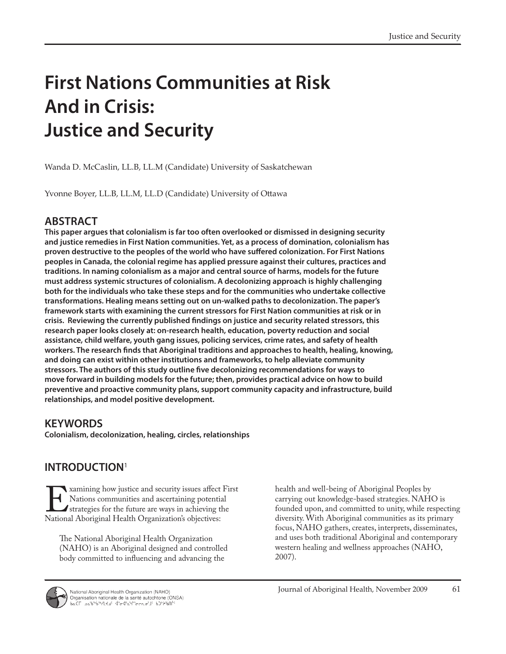# **First Nations Communities at Risk And in Crisis: Justice and Security**

Wanda D. McCaslin, LL.B, LL.M (Candidate) University of Saskatchewan

Yvonne Boyer, LL.B, LL.M, LL.D (Candidate) University of Ottawa

# **ABSTRACT**

**This paper argues that colonialism is far too often overlooked or dismissed in designing security and justice remedies in First Nation communities. Yet, as a process of domination, colonialism has proven destructive to the peoples of the world who have suffered colonization. For First Nations peoples in Canada, the colonial regime has applied pressure against their cultures, practices and traditions. In naming colonialism as a major and central source of harms, models for the future must address systemic structures of colonialism. A decolonizing approach is highly challenging both for the individuals who take these steps and for the communities who undertake collective transformations. Healing means setting out on un-walked paths to decolonization. The paper's framework starts with examining the current stressors for First Nation communities at risk or in crisis. Reviewing the currently published findings on justice and security related stressors, this research paper looks closely at: on-research health, education, poverty reduction and social assistance, child welfare, youth gang issues, policing services, crime rates, and safety of health workers. The research finds that Aboriginal traditions and approaches to health, healing, knowing, and doing can exist within other institutions and frameworks, to help alleviate community stressors. The authors of this study outline five decolonizing recommendations for ways to move forward in building models for the future; then, provides practical advice on how to build preventive and proactive community plans, support community capacity and infrastructure, build relationships, and model positive development.**

### **KEYWORDS**

**Colonialism, decolonization, healing, circles, relationships**

# **INTRODUCTION**<sup>1</sup>

Examining how justice and security issues affect First<br>Nations communities and ascertaining potential<br>National Aboriginal Health Organization's objectives: Nations communities and ascertaining potential strategies for the future are ways in achieving the National Aboriginal Health Organization's objectives:

The National Aboriginal Health Organization (NAHO) is an Aboriginal designed and controlled body committed to influencing and advancing the

health and well-being of Aboriginal Peoples by carrying out knowledge-based strategies. NAHO is founded upon, and committed to unity, while respecting diversity. With Aboriginal communities as its primary focus, NAHO gathers, creates, interprets, disseminates, and uses both traditional Aboriginal and contemporary western healing and wellness approaches (NAHO, 2007).

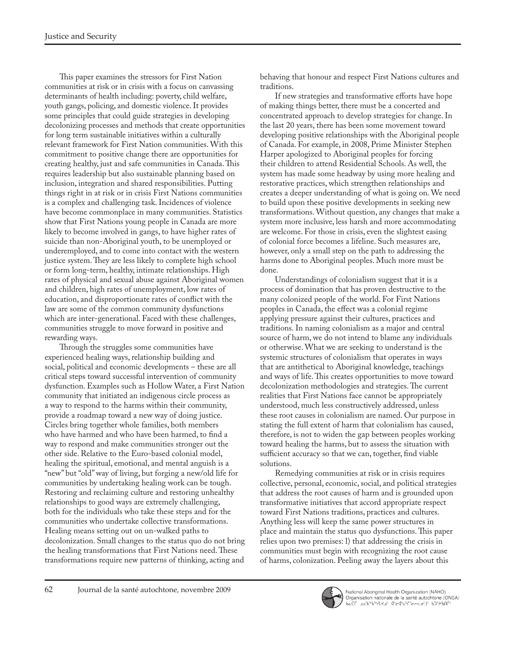This paper examines the stressors for First Nation communities at risk or in crisis with a focus on canvassing determinants of health including: poverty, child welfare, youth gangs, policing, and domestic violence. It provides some principles that could guide strategies in developing decolonizing processes and methods that create opportunities for long term sustainable initiatives within a culturally relevant framework for First Nation communities. With this commitment to positive change there are opportunities for creating healthy, just and safe communities in Canada. This requires leadership but also sustainable planning based on inclusion, integration and shared responsibilities. Putting things right in at risk or in crisis First Nations communities is a complex and challenging task. Incidences of violence have become commonplace in many communities. Statistics show that First Nations young people in Canada are more likely to become involved in gangs, to have higher rates of suicide than non-Aboriginal youth, to be unemployed or underemployed, and to come into contact with the western justice system. They are less likely to complete high school or form long-term, healthy, intimate relationships. High rates of physical and sexual abuse against Aboriginal women and children, high rates of unemployment, low rates of education, and disproportionate rates of conflict with the law are some of the common community dysfunctions which are inter-generational. Faced with these challenges, communities struggle to move forward in positive and rewarding ways.

Through the struggles some communities have experienced healing ways, relationship building and social, political and economic developments – these are all critical steps toward successful intervention of community dysfunction. Examples such as Hollow Water, a First Nation community that initiated an indigenous circle process as a way to respond to the harms within their community, provide a roadmap toward a new way of doing justice. Circles bring together whole families, both members who have harmed and who have been harmed, to find a way to respond and make communities stronger out the other side. Relative to the Euro-based colonial model, healing the spiritual, emotional, and mental anguish is a "new" but "old" way of living, but forging a new/old life for communities by undertaking healing work can be tough. Restoring and reclaiming culture and restoring unhealthy relationships to good ways are extremely challenging, both for the individuals who take these steps and for the communities who undertake collective transformations. Healing means setting out on un-walked paths to decolonization. Small changes to the status quo do not bring the healing transformations that First Nations need. These transformations require new patterns of thinking, acting and

behaving that honour and respect First Nations cultures and traditions.

If new strategies and transformative efforts have hope of making things better, there must be a concerted and concentrated approach to develop strategies for change. In the last 20 years, there has been some movement toward developing positive relationships with the Aboriginal people of Canada. For example, in 2008, Prime Minister Stephen Harper apologized to Aboriginal peoples for forcing their children to attend Residential Schools. As well, the system has made some headway by using more healing and restorative practices, which strengthen relationships and creates a deeper understanding of what is going on. We need to build upon these positive developments in seeking new transformations. Without question, any changes that make a system more inclusive, less harsh and more accommodating are welcome. For those in crisis, even the slightest easing of colonial force becomes a lifeline. Such measures are, however, only a small step on the path to addressing the harms done to Aboriginal peoples. Much more must be done.

Understandings of colonialism suggest that it is a process of domination that has proven destructive to the many colonized people of the world. For First Nations peoples in Canada, the effect was a colonial regime applying pressure against their cultures, practices and traditions. In naming colonialism as a major and central source of harm, we do not intend to blame any individuals or otherwise. What we are seeking to understand is the systemic structures of colonialism that operates in ways that are antithetical to Aboriginal knowledge, teachings and ways of life. This creates opportunities to move toward decolonization methodologies and strategies. The current realities that First Nations face cannot be appropriately understood, much less constructively addressed, unless these root causes in colonialism are named. Our purpose in stating the full extent of harm that colonialism has caused, therefore, is not to widen the gap between peoples working toward healing the harms, but to assess the situation with sufficient accuracy so that we can, together, find viable solutions.

Remedying communities at risk or in crisis requires collective, personal, economic, social, and political strategies that address the root causes of harm and is grounded upon transformative initiatives that accord appropriate respect toward First Nations traditions, practices and cultures. Anything less will keep the same power structures in place and maintain the status quo dysfunctions. This paper relies upon two premises: l) that addressing the crisis in communities must begin with recognizing the root cause of harms, colonization. Peeling away the layers about this

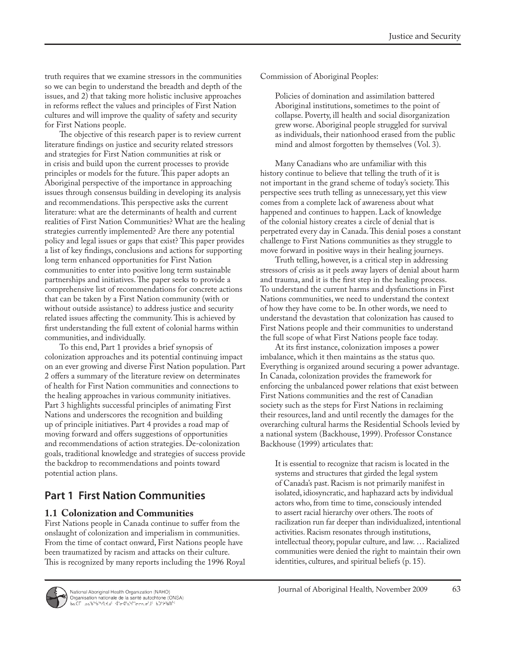truth requires that we examine stressors in the communities so we can begin to understand the breadth and depth of the issues, and 2) that taking more holistic inclusive approaches in reforms reflect the values and principles of First Nation cultures and will improve the quality of safety and security for First Nations people.

The objective of this research paper is to review current literature findings on justice and security related stressors and strategies for First Nation communities at risk or in crisis and build upon the current processes to provide principles or models for the future. This paper adopts an Aboriginal perspective of the importance in approaching issues through consensus building in developing its analysis and recommendations. This perspective asks the current literature: what are the determinants of health and current realities of First Nation Communities? What are the healing strategies currently implemented? Are there any potential policy and legal issues or gaps that exist? This paper provides a list of key findings, conclusions and actions for supporting long term enhanced opportunities for First Nation communities to enter into positive long term sustainable partnerships and initiatives. The paper seeks to provide a comprehensive list of recommendations for concrete actions that can be taken by a First Nation community (with or without outside assistance) to address justice and security related issues affecting the community. This is achieved by first understanding the full extent of colonial harms within communities, and individually.

To this end, Part 1 provides a brief synopsis of colonization approaches and its potential continuing impact on an ever growing and diverse First Nation population. Part 2 offers a summary of the literature review on determinates of health for First Nation communities and connections to the healing approaches in various community initiatives. Part 3 highlights successful principles of animating First Nations and underscores the recognition and building up of principle initiatives. Part 4 provides a road map of moving forward and offers suggestions of opportunities and recommendations of action strategies. De-colonization goals, traditional knowledge and strategies of success provide the backdrop to recommendations and points toward potential action plans.

# **Part 1 First Nation Communities**

### **1.1 Colonization and Communities**

First Nations people in Canada continue to suffer from the onslaught of colonization and imperialism in communities. From the time of contact onward, First Nations people have been traumatized by racism and attacks on their culture. This is recognized by many reports including the 1996 Royal Commission of Aboriginal Peoples:

Policies of domination and assimilation battered Aboriginal institutions, sometimes to the point of collapse. Poverty, ill health and social disorganization grew worse. Aboriginal people struggled for survival as individuals, their nationhood erased from the public mind and almost forgotten by themselves (Vol. 3).

Many Canadians who are unfamiliar with this history continue to believe that telling the truth of it is not important in the grand scheme of today's society. This perspective sees truth telling as unnecessary, yet this view comes from a complete lack of awareness about what happened and continues to happen. Lack of knowledge of the colonial history creates a circle of denial that is perpetrated every day in Canada. This denial poses a constant challenge to First Nations communities as they struggle to move forward in positive ways in their healing journeys.

Truth telling, however, is a critical step in addressing stressors of crisis as it peels away layers of denial about harm and trauma, and it is the first step in the healing process. To understand the current harms and dysfunctions in First Nations communities, we need to understand the context of how they have come to be. In other words, we need to understand the devastation that colonization has caused to First Nations people and their communities to understand the full scope of what First Nations people face today.

At its first instance, colonization imposes a power imbalance, which it then maintains as the status quo. Everything is organized around securing a power advantage. In Canada, colonization provides the framework for enforcing the unbalanced power relations that exist between First Nations communities and the rest of Canadian society such as the steps for First Nations in reclaiming their resources, land and until recently the damages for the overarching cultural harms the Residential Schools levied by a national system (Backhouse, 1999). Professor Constance Backhouse (1999) articulates that:

It is essential to recognize that racism is located in the systems and structures that girded the legal system of Canada's past. Racism is not primarily manifest in isolated, idiosyncratic, and haphazard acts by individual actors who, from time to time, consciously intended to assert racial hierarchy over others. The roots of racilization run far deeper than individualized, intentional activities. Racism resonates through institutions, intellectual theory, popular culture, and law. … Racialized communities were denied the right to maintain their own identities, cultures, and spiritual beliefs (p. 15).

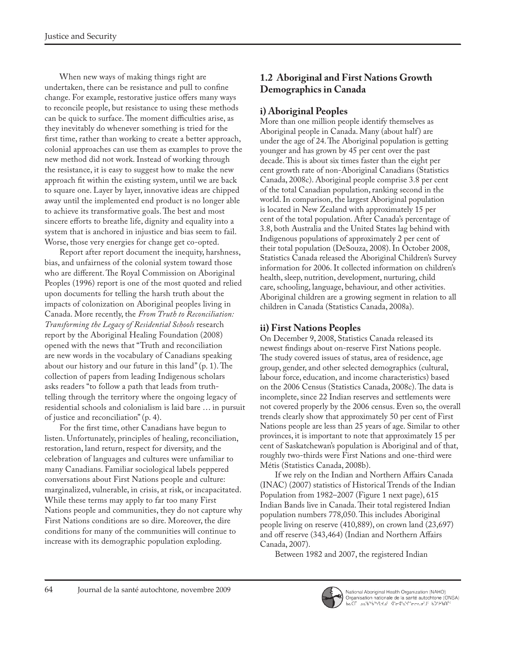When new ways of making things right are undertaken, there can be resistance and pull to confine change. For example, restorative justice offers many ways to reconcile people, but resistance to using these methods can be quick to surface. The moment difficulties arise, as they inevitably do whenever something is tried for the first time, rather than working to create a better approach, colonial approaches can use them as examples to prove the new method did not work. Instead of working through the resistance, it is easy to suggest how to make the new approach fit within the existing system, until we are back to square one. Layer by layer, innovative ideas are chipped away until the implemented end product is no longer able to achieve its transformative goals. The best and most sincere efforts to breathe life, dignity and equality into a system that is anchored in injustice and bias seem to fail. Worse, those very energies for change get co-opted.

Report after report document the inequity, harshness, bias, and unfairness of the colonial system toward those who are different. The Royal Commission on Aboriginal Peoples (1996) report is one of the most quoted and relied upon documents for telling the harsh truth about the impacts of colonization on Aboriginal peoples living in Canada. More recently, the *From Truth to Reconciliation: Transforming the Legacy of Residential Schools* research report by the Aboriginal Healing Foundation (2008) opened with the news that "Truth and reconciliation are new words in the vocabulary of Canadians speaking about our history and our future in this land" (p. 1). The collection of papers from leading Indigenous scholars asks readers "to follow a path that leads from truthtelling through the territory where the ongoing legacy of residential schools and colonialism is laid bare … in pursuit of justice and reconciliation" (p. 4).

For the first time, other Canadians have begun to listen. Unfortunately, principles of healing, reconciliation, restoration, land return, respect for diversity, and the celebration of languages and cultures were unfamiliar to many Canadians. Familiar sociological labels peppered conversations about First Nations people and culture: marginalized, vulnerable, in crisis, at risk, or incapacitated. While these terms may apply to far too many First Nations people and communities, they do not capture why First Nations conditions are so dire. Moreover, the dire conditions for many of the communities will continue to increase with its demographic population exploding.

# **1.2 Aboriginal and First Nations Growth Demographics in Canada**

### **i) Aboriginal Peoples**

More than one million people identify themselves as Aboriginal people in Canada. Many (about half) are under the age of 24. The Aboriginal population is getting younger and has grown by 45 per cent over the past decade. This is about six times faster than the eight per cent growth rate of non-Aboriginal Canadians (Statistics Canada, 2008c). Aboriginal people comprise 3.8 per cent of the total Canadian population, ranking second in the world. In comparison, the largest Aboriginal population is located in New Zealand with approximately 15 per cent of the total population. After Canada's percentage of 3.8, both Australia and the United States lag behind with Indigenous populations of approximately 2 per cent of their total population (DeSouza, 2008). In October 2008, Statistics Canada released the Aboriginal Children's Survey information for 2006. It collected information on children's health, sleep, nutrition, development, nurturing, child care, schooling, language, behaviour, and other activities. Aboriginal children are a growing segment in relation to all children in Canada (Statistics Canada, 2008a).

### **ii) First Nations Peoples**

On December 9, 2008, Statistics Canada released its newest findings about on-reserve First Nations people. The study covered issues of status, area of residence, age group, gender, and other selected demographics (cultural, labour force, education, and income characteristics) based on the 2006 Census (Statistics Canada, 2008c). The data is incomplete, since 22 Indian reserves and settlements were not covered properly by the 2006 census. Even so, the overall trends clearly show that approximately 50 per cent of First Nations people are less than 25 years of age. Similar to other provinces, it is important to note that approximately 15 per cent of Saskatchewan's population is Aboriginal and of that, roughly two-thirds were First Nations and one-third were Métis (Statistics Canada, 2008b).

If we rely on the Indian and Northern Affairs Canada (INAC) (2007) statistics of Historical Trends of the Indian Population from 1982–2007 (Figure 1 next page), 615 Indian Bands live in Canada. Their total registered Indian population numbers 778,050. This includes Aboriginal people living on reserve (410,889), on crown land (23,697) and off reserve (343,464) (Indian and Northern Affairs Canada, 2007).

Between 1982 and 2007, the registered Indian

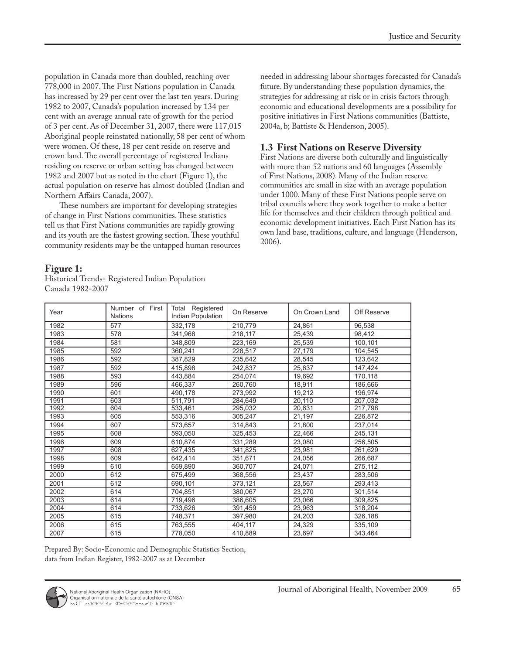population in Canada more than doubled, reaching over 778,000 in 2007. The First Nations population in Canada has increased by 29 per cent over the last ten years. During 1982 to 2007, Canada's population increased by 134 per cent with an average annual rate of growth for the period of 3 per cent. As of December 31, 2007, there were 117,015 Aboriginal people reinstated nationally, 58 per cent of whom were women. Of these, 18 per cent reside on reserve and crown land. The overall percentage of registered Indians residing on reserve or urban setting has changed between 1982 and 2007 but as noted in the chart (Figure 1), the actual population on reserve has almost doubled (Indian and Northern Affairs Canada, 2007).

These numbers are important for developing strategies of change in First Nations communities. These statistics tell us that First Nations communities are rapidly growing and its youth are the fastest growing section. These youthful community residents may be the untapped human resources

**Figure 1:**

Historical Trends- Registered Indian Population Canada 1982-2007

needed in addressing labour shortages forecasted for Canada's future. By understanding these population dynamics, the strategies for addressing at risk or in crisis factors through economic and educational developments are a possibility for positive initiatives in First Nations communities (Battiste, 2004a, b; Battiste & Henderson, 2005).

### **1.3 First Nations on Reserve Diversity**

First Nations are diverse both culturally and linguistically with more than 52 nations and 60 languages (Assembly of First Nations, 2008). Many of the Indian reserve communities are small in size with an average population under 1000. Many of these First Nations people serve on tribal councils where they work together to make a better life for themselves and their children through political and economic development initiatives. Each First Nation has its own land base, traditions, culture, and language (Henderson, 2006).

| Year | Number of First<br><b>Nations</b> | Total Registered<br>Indian Population | On Reserve | On Crown Land | Off Reserve |
|------|-----------------------------------|---------------------------------------|------------|---------------|-------------|
| 1982 | 577                               | 332,178                               | 210,779    | 24,861        | 96,538      |
| 1983 | 578                               | 341.968                               | 218.117    | 25.439        | 98.412      |
| 1984 | 581                               | 348,809                               | 223,169    | 25.539        | 100,101     |
| 1985 | 592                               | 360.241                               | 228,517    | 27,179        | 104,545     |
| 1986 | 592                               | 387,829                               | 235,642    | 28,545        | 123,642     |
| 1987 | 592                               | 415,898                               | 242,837    | 25,637        | 147,424     |
| 1988 | 593                               | 443.884                               | 254,074    | 19,692        | 170,118     |
| 1989 | 596                               | 466,337                               | 260,760    | 18,911        | 186,666     |
| 1990 | 601                               | 490.178                               | 273.992    | 19.212        | 196.974     |
| 1991 | 603                               | 511,791                               | 284.649    | 20,110        | 207,032     |
| 1992 | 604                               | 533,461                               | 295,032    | 20,631        | 217,798     |
| 1993 | 605                               | 553,316                               | 305,247    | 21,197        | 226,872     |
| 1994 | 607                               | 573,657                               | 314,843    | 21,800        | 237,014     |
| 1995 | 608                               | 593.050                               | 325.453    | 22,466        | 245,131     |
| 1996 | 609                               | 610,874                               | 331,289    | 23,080        | 256,505     |
| 1997 | 608                               | 627.435                               | 341,825    | 23,981        | 261,629     |
| 1998 | 609                               | 642,414                               | 351,671    | 24,056        | 266,687     |
| 1999 | 610                               | 659,890                               | 360,707    | 24,071        | 275,112     |
| 2000 | 612                               | 675,499                               | 368,556    | 23,437        | 283,506     |
| 2001 | 612                               | 690.101                               | 373,121    | 23.567        | 293,413     |
| 2002 | 614                               | 704,851                               | 380,067    | 23,270        | 301,514     |
| 2003 | 614                               | 719,496                               | 386,605    | 23,066        | 309,825     |
| 2004 | 614                               | 733,626                               | 391,459    | 23,963        | 318,204     |
| 2005 | 615                               | 748,371                               | 397,980    | 24,203        | 326,188     |
| 2006 | 615                               | 763.555                               | 404,117    | 24,329        | 335,109     |
| 2007 | 615                               | 778,050                               | 410,889    | 23,697        | 343,464     |

Prepared By: Socio-Economic and Demographic Statistics Section, data from Indian Register, 1982-2007 as at December

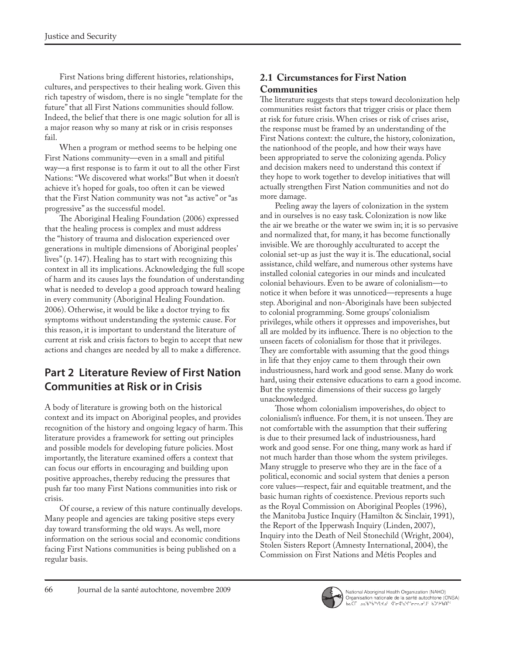First Nations bring different histories, relationships, cultures, and perspectives to their healing work. Given this rich tapestry of wisdom, there is no single "template for the future" that all First Nations communities should follow. Indeed, the belief that there is one magic solution for all is a major reason why so many at risk or in crisis responses fail.

When a program or method seems to be helping one First Nations community—even in a small and pitiful way—a first response is to farm it out to all the other First Nations: "We discovered what works!" But when it doesn't achieve it's hoped for goals, too often it can be viewed that the First Nation community was not "as active" or "as progressive" as the successful model.

The Aboriginal Healing Foundation (2006) expressed that the healing process is complex and must address the "history of trauma and dislocation experienced over generations in multiple dimensions of Aboriginal peoples' lives" (p. 147). Healing has to start with recognizing this context in all its implications. Acknowledging the full scope of harm and its causes lays the foundation of understanding what is needed to develop a good approach toward healing in every community (Aboriginal Healing Foundation. 2006). Otherwise, it would be like a doctor trying to fix symptoms without understanding the systemic cause. For this reason, it is important to understand the literature of current at risk and crisis factors to begin to accept that new actions and changes are needed by all to make a difference.

# **Part 2 Literature Review of First Nation Communities at Risk or in Crisis**

A body of literature is growing both on the historical context and its impact on Aboriginal peoples, and provides recognition of the history and ongoing legacy of harm. This literature provides a framework for setting out principles and possible models for developing future policies. Most importantly, the literature examined offers a context that can focus our efforts in encouraging and building upon positive approaches, thereby reducing the pressures that push far too many First Nations communities into risk or crisis.

Of course, a review of this nature continually develops. Many people and agencies are taking positive steps every day toward transforming the old ways. As well, more information on the serious social and economic conditions facing First Nations communities is being published on a regular basis.

# **2.1 Circumstances for First Nation**

### **Communities**

The literature suggests that steps toward decolonization help communities resist factors that trigger crisis or place them at risk for future crisis. When crises or risk of crises arise, the response must be framed by an understanding of the First Nations context: the culture, the history, colonization, the nationhood of the people, and how their ways have been appropriated to serve the colonizing agenda. Policy and decision makers need to understand this context if they hope to work together to develop initiatives that will actually strengthen First Nation communities and not do more damage.

Peeling away the layers of colonization in the system and in ourselves is no easy task. Colonization is now like the air we breathe or the water we swim in; it is so pervasive and normalized that, for many, it has become functionally invisible. We are thoroughly acculturated to accept the colonial set-up as just the way it is. The educational, social assistance, child welfare, and numerous other systems have installed colonial categories in our minds and inculcated colonial behaviours. Even to be aware of colonialism—to notice it when before it was unnoticed—represents a huge step. Aboriginal and non-Aboriginals have been subjected to colonial programming. Some groups' colonialism privileges, while others it oppresses and impoverishes, but all are molded by its influence. There is no objection to the unseen facets of colonialism for those that it privileges. They are comfortable with assuming that the good things in life that they enjoy came to them through their own industriousness, hard work and good sense. Many do work hard, using their extensive educations to earn a good income. But the systemic dimensions of their success go largely unacknowledged.

Those whom colonialism impoverishes, do object to colonialism's influence. For them, it is not unseen. They are not comfortable with the assumption that their suffering is due to their presumed lack of industriousness, hard work and good sense. For one thing, many work as hard if not much harder than those whom the system privileges. Many struggle to preserve who they are in the face of a political, economic and social system that denies a person core values—respect, fair and equitable treatment, and the basic human rights of coexistence. Previous reports such as the Royal Commission on Aboriginal Peoples (1996), the Manitoba Justice Inquiry (Hamilton & Sinclair, 1991), the Report of the Ipperwash Inquiry (Linden, 2007), Inquiry into the Death of Neil Stonechild (Wright, 2004), Stolen Sisters Report (Amnesty International, 2004), the Commission on First Nations and Métis Peoples and

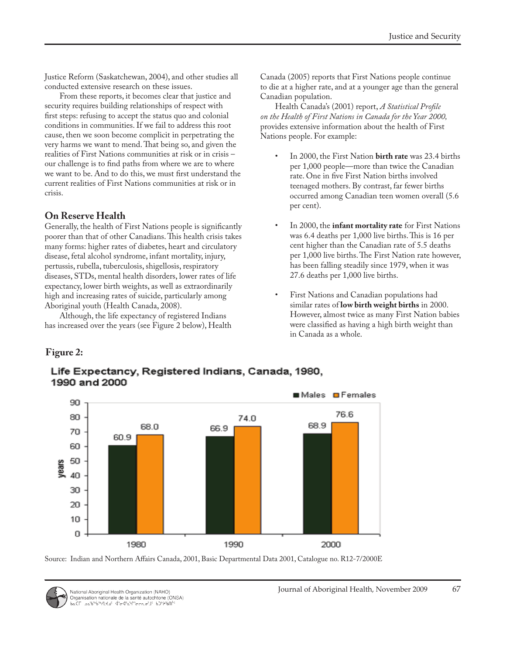Justice Reform (Saskatchewan, 2004), and other studies all conducted extensive research on these issues.

From these reports, it becomes clear that justice and security requires building relationships of respect with first steps: refusing to accept the status quo and colonial conditions in communities. If we fail to address this root cause, then we soon become complicit in perpetrating the very harms we want to mend. That being so, and given the realities of First Nations communities at risk or in crisis – our challenge is to find paths from where we are to where we want to be. And to do this, we must first understand the current realities of First Nations communities at risk or in crisis.

### **On Reserve Health**

Generally, the health of First Nations people is significantly poorer than that of other Canadians. This health crisis takes many forms: higher rates of diabetes, heart and circulatory disease, fetal alcohol syndrome, infant mortality, injury, pertussis, rubella, tuberculosis, shigellosis, respiratory diseases, STDs, mental health disorders, lower rates of life expectancy, lower birth weights, as well as extraordinarily high and increasing rates of suicide, particularly among Aboriginal youth (Health Canada, 2008).

Although, the life expectancy of registered Indians has increased over the years (see Figure 2 below), Health Canada (2005) reports that First Nations people continue to die at a higher rate, and at a younger age than the general Canadian population.

Health Canada's (2001) report, *A Statistical Profile on the Health of First Nations in Canada for the Year 2000,* provides extensive information about the health of First Nations people. For example:

- In 2000, the First Nation **birth rate** was 23.4 births per 1,000 people—more than twice the Canadian rate. One in five First Nation births involved teenaged mothers. By contrast, far fewer births occurred among Canadian teen women overall (5.6 per cent).
- In 2000, the **infant mortality rate** for First Nations was 6.4 deaths per 1,000 live births. This is 16 per cent higher than the Canadian rate of 5.5 deaths per 1,000 live births. The First Nation rate however, has been falling steadily since 1979, when it was 27.6 deaths per 1,000 live births.
- First Nations and Canadian populations had similar rates of **low birth weight births** in 2000. However, almost twice as many First Nation babies were classified as having a high birth weight than in Canada as a whole.

### **Figure 2:**



Life Expectancy, Registered Indians, Canada, 1980, 1990 and 2000

Source: Indian and Northern Affairs Canada, 2001, Basic Departmental Data 2001, Catalogue no. R12-7/2000E

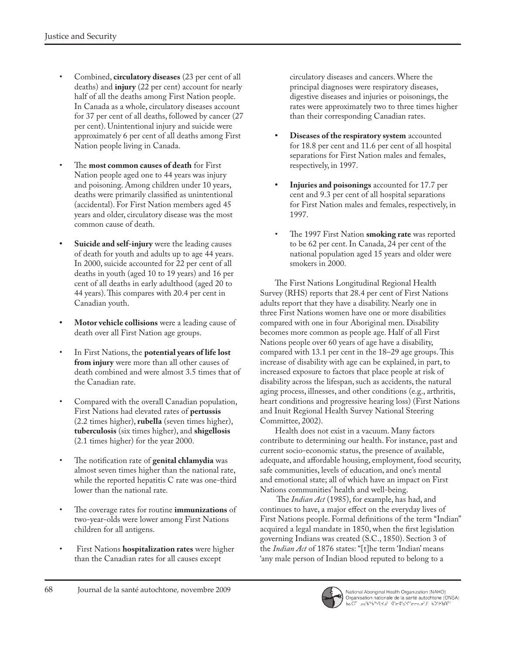- Combined, **circulatory diseases** (23 per cent of all deaths) and **injury** (22 per cent) account for nearly half of all the deaths among First Nation people. In Canada as a whole, circulatory diseases account for 37 per cent of all deaths, followed by cancer (27 per cent). Unintentional injury and suicide were approximately 6 per cent of all deaths among First Nation people living in Canada.
- The **most common causes of death** for First Nation people aged one to 44 years was injury and poisoning. Among children under 10 years, deaths were primarily classified as unintentional (accidental). For First Nation members aged 45 years and older, circulatory disease was the most common cause of death.
- **• Suicide and self-injury** were the leading causes of death for youth and adults up to age 44 years. In 2000, suicide accounted for 22 per cent of all deaths in youth (aged 10 to 19 years) and 16 per cent of all deaths in early adulthood (aged 20 to 44 years). This compares with 20.4 per cent in Canadian youth.
- **• Motor vehicle collisions** were a leading cause of death over all First Nation age groups.
- In First Nations, the **potential years of life lost from injury** were more than all other causes of death combined and were almost 3.5 times that of the Canadian rate.
- Compared with the overall Canadian population, First Nations had elevated rates of **pertussis** (2.2 times higher), **rubella** (seven times higher), **tuberculosis** (six times higher), and **shigellosis** (2.1 times higher) for the year 2000.
- The notification rate of **genital chlamydia** was almost seven times higher than the national rate, while the reported hepatitis C rate was one-third lower than the national rate.
- The coverage rates for routine **immunizations** of two-year-olds were lower among First Nations children for all antigens.
- First Nations **hospitalization rates** were higher than the Canadian rates for all causes except

circulatory diseases and cancers. Where the principal diagnoses were respiratory diseases, digestive diseases and injuries or poisonings, the rates were approximately two to three times higher than their corresponding Canadian rates.

- **• Diseases of the respiratory system** accounted for 18.8 per cent and 11.6 per cent of all hospital separations for First Nation males and females, respectively, in 1997.
- **• Injuries and poisonings** accounted for 17.7 per cent and 9.3 per cent of all hospital separations for First Nation males and females, respectively, in 1997.
- The 1997 First Nation **smoking rate** was reported to be 62 per cent. In Canada, 24 per cent of the national population aged 15 years and older were smokers in 2000.

The First Nations Longitudinal Regional Health Survey (RHS) reports that 28.4 per cent of First Nations adults report that they have a disability. Nearly one in three First Nations women have one or more disabilities compared with one in four Aboriginal men. Disability becomes more common as people age. Half of all First Nations people over 60 years of age have a disability, compared with 13.1 per cent in the 18–29 age groups. This increase of disability with age can be explained, in part, to increased exposure to factors that place people at risk of disability across the lifespan, such as accidents, the natural aging process, illnesses, and other conditions (e.g., arthritis, heart conditions and progressive hearing loss) (First Nations and Inuit Regional Health Survey National Steering Committee, 2002).

Health does not exist in a vacuum. Many factors contribute to determining our health. For instance, past and current socio-economic status, the presence of available, adequate, and affordable housing, employment, food security, safe communities, levels of education, and one's mental and emotional state; all of which have an impact on First Nations communities' health and well-being.

 The *Indian Act* (1985), for example, has had, and continues to have, a major effect on the everyday lives of First Nations people. Formal definitions of the term "Indian" acquired a legal mandate in 1850, when the first legislation governing Indians was created (S.C., 1850). Section 3 of the *Indian Act* of 1876 states: "[t]he term 'Indian' means 'any male person of Indian blood reputed to belong to a

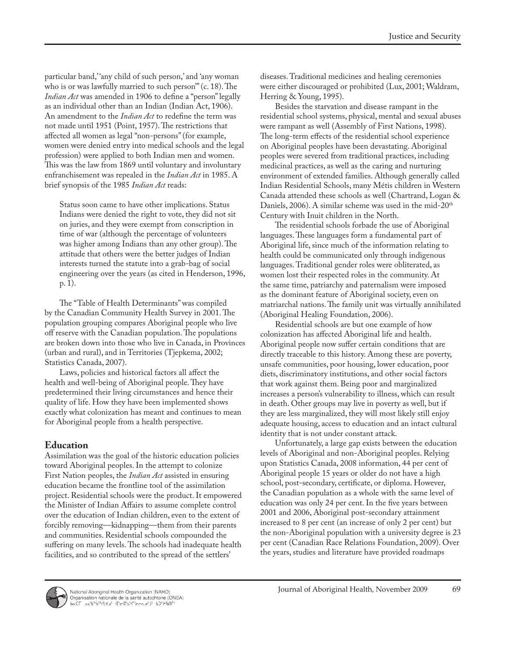particular band, 'any child of such person,' and 'any woman who is or was lawfully married to such person'" (c. 18). The *Indian Act* was amended in 1906 to define a "person" legally as an individual other than an Indian (Indian Act, 1906). An amendment to the *Indian Act* to redefine the term was not made until 1951 (Point, 1957). The restrictions that affected all women as legal "non-persons" (for example, women were denied entry into medical schools and the legal profession) were applied to both Indian men and women. This was the law from 1869 until voluntary and involuntary enfranchisement was repealed in the *Indian Act* in 1985. A brief synopsis of the 1985 *Indian Act* reads:

Status soon came to have other implications. Status Indians were denied the right to vote, they did not sit on juries, and they were exempt from conscription in time of war (although the percentage of volunteers was higher among Indians than any other group). The attitude that others were the better judges of Indian interests turned the statute into a grab-bag of social engineering over the years (as cited in Henderson, 1996, p. 1).

The "Table of Health Determinants" was compiled by the Canadian Community Health Survey in 2001. The population grouping compares Aboriginal people who live off reserve with the Canadian population. The populations are broken down into those who live in Canada, in Provinces (urban and rural), and in Territories (Tjepkema, 2002; Statistics Canada, 2007).

Laws, policies and historical factors all affect the health and well-being of Aboriginal people. They have predetermined their living circumstances and hence their quality of life. How they have been implemented shows exactly what colonization has meant and continues to mean for Aboriginal people from a health perspective.

#### **Education**

Assimilation was the goal of the historic education policies toward Aboriginal peoples. In the attempt to colonize First Nation peoples, the *Indian Act* assisted in ensuring education became the frontline tool of the assimilation project. Residential schools were the product. It empowered the Minister of Indian Affairs to assume complete control over the education of Indian children, even to the extent of forcibly removing—kidnapping—them from their parents and communities. Residential schools compounded the suffering on many levels. The schools had inadequate health facilities, and so contributed to the spread of the settlers'

diseases. Traditional medicines and healing ceremonies were either discouraged or prohibited (Lux, 2001; Waldram, Herring & Young, 1995).

Besides the starvation and disease rampant in the residential school systems, physical, mental and sexual abuses were rampant as well (Assembly of First Nations, 1998). The long-term effects of the residential school experience on Aboriginal peoples have been devastating. Aboriginal peoples were severed from traditional practices, including medicinal practices, as well as the caring and nurturing environment of extended families. Although generally called Indian Residential Schools, many Métis children in Western Canada attended these schools as well (Chartrand, Logan & Daniels, 2006). A similar scheme was used in the mid-20<sup>th</sup> Century with Inuit children in the North.

The residential schools forbade the use of Aboriginal languages. These languages form a fundamental part of Aboriginal life, since much of the information relating to health could be communicated only through indigenous languages. Traditional gender roles were obliterated, as women lost their respected roles in the community. At the same time, patriarchy and paternalism were imposed as the dominant feature of Aboriginal society, even on matriarchal nations. The family unit was virtually annihilated (Aboriginal Healing Foundation, 2006).

Residential schools are but one example of how colonization has affected Aboriginal life and health. Aboriginal people now suffer certain conditions that are directly traceable to this history. Among these are poverty, unsafe communities, poor housing, lower education, poor diets, discriminatory institutions, and other social factors that work against them. Being poor and marginalized increases a person's vulnerability to illness, which can result in death. Other groups may live in poverty as well, but if they are less marginalized, they will most likely still enjoy adequate housing, access to education and an intact cultural identity that is not under constant attack.

Unfortunately, a large gap exists between the education levels of Aboriginal and non-Aboriginal peoples. Relying upon Statistics Canada, 2008 information, 44 per cent of Aboriginal people 15 years or older do not have a high school, post-secondary, certificate, or diploma. However, the Canadian population as a whole with the same level of education was only 24 per cent. In the five years between 2001 and 2006, Aboriginal post-secondary attainment increased to 8 per cent (an increase of only 2 per cent) but the non-Aboriginal population with a university degree is 23 per cent (Canadian Race Relations Foundation, 2009). Over the years, studies and literature have provided roadmaps

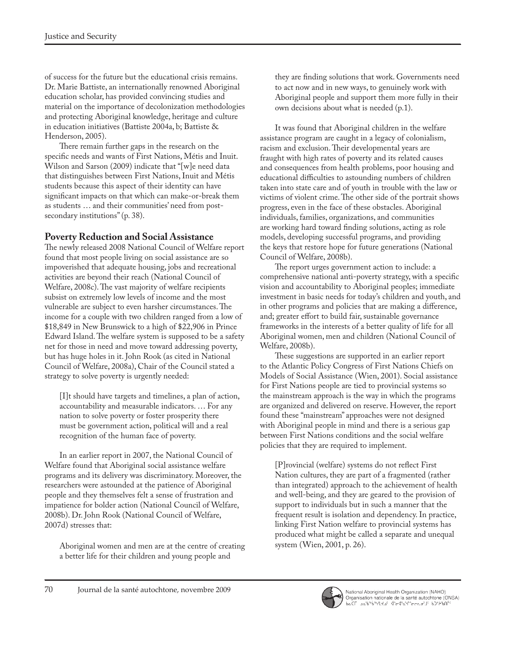of success for the future but the educational crisis remains. Dr. Marie Battiste, an internationally renowned Aboriginal education scholar, has provided convincing studies and material on the importance of decolonization methodologies and protecting Aboriginal knowledge, heritage and culture in education initiatives (Battiste 2004a, b; Battiste & Henderson, 2005).

There remain further gaps in the research on the specific needs and wants of First Nations, Métis and Inuit. Wilson and Sarson (2009) indicate that "[w]e need data that distinguishes between First Nations, Inuit and Métis students because this aspect of their identity can have significant impacts on that which can make-or-break them as students … and their communities' need from postsecondary institutions" (p. 38).

### **Poverty Reduction and Social Assistance**

The newly released 2008 National Council of Welfare report found that most people living on social assistance are so impoverished that adequate housing, jobs and recreational activities are beyond their reach (National Council of Welfare, 2008c). The vast majority of welfare recipients subsist on extremely low levels of income and the most vulnerable are subject to even harsher circumstances. The income for a couple with two children ranged from a low of \$18,849 in New Brunswick to a high of \$22,906 in Prince Edward Island. The welfare system is supposed to be a safety net for those in need and move toward addressing poverty, but has huge holes in it. John Rook (as cited in National Council of Welfare, 2008a), Chair of the Council stated a strategy to solve poverty is urgently needed:

[I]t should have targets and timelines, a plan of action, accountability and measurable indicators. … For any nation to solve poverty or foster prosperity there must be government action, political will and a real recognition of the human face of poverty.

In an earlier report in 2007, the National Council of Welfare found that Aboriginal social assistance welfare programs and its delivery was discriminatory. Moreover, the researchers were astounded at the patience of Aboriginal people and they themselves felt a sense of frustration and impatience for bolder action (National Council of Welfare, 2008b). Dr. John Rook (National Council of Welfare, 2007d) stresses that:

Aboriginal women and men are at the centre of creating a better life for their children and young people and

they are finding solutions that work. Governments need to act now and in new ways, to genuinely work with Aboriginal people and support them more fully in their own decisions about what is needed (p.1).

It was found that Aboriginal children in the welfare assistance program are caught in a legacy of colonialism, racism and exclusion. Their developmental years are fraught with high rates of poverty and its related causes and consequences from health problems, poor housing and educational difficulties to astounding numbers of children taken into state care and of youth in trouble with the law or victims of violent crime. The other side of the portrait shows progress, even in the face of these obstacles. Aboriginal individuals, families, organizations, and communities are working hard toward finding solutions, acting as role models, developing successful programs, and providing the keys that restore hope for future generations (National Council of Welfare, 2008b).

The report urges government action to include: a comprehensive national anti-poverty strategy, with a specific vision and accountability to Aboriginal peoples; immediate investment in basic needs for today's children and youth, and in other programs and policies that are making a difference, and; greater effort to build fair, sustainable governance frameworks in the interests of a better quality of life for all Aboriginal women, men and children (National Council of Welfare, 2008b).

These suggestions are supported in an earlier report to the Atlantic Policy Congress of First Nations Chiefs on Models of Social Assistance (Wien, 2001). Social assistance for First Nations people are tied to provincial systems so the mainstream approach is the way in which the programs are organized and delivered on reserve. However, the report found these "mainstream" approaches were not designed with Aboriginal people in mind and there is a serious gap between First Nations conditions and the social welfare policies that they are required to implement.

[P]rovincial (welfare) systems do not reflect First Nation cultures, they are part of a fragmented (rather than integrated) approach to the achievement of health and well-being, and they are geared to the provision of support to individuals but in such a manner that the frequent result is isolation and dependency. In practice, linking First Nation welfare to provincial systems has produced what might be called a separate and unequal system (Wien, 2001, p. 26).

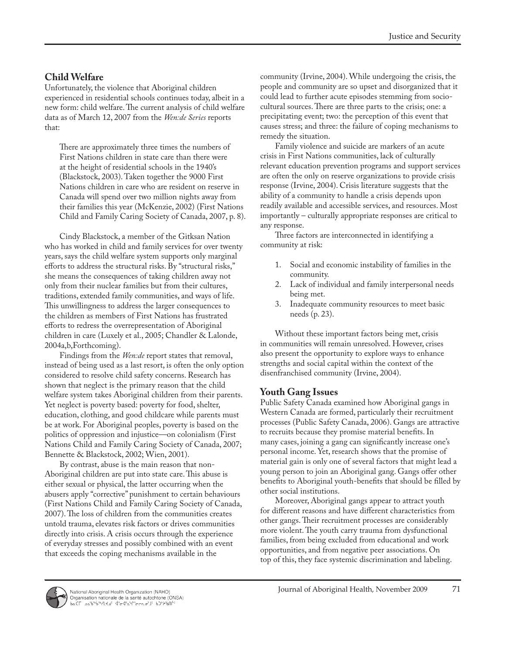#### **Child Welfare**

Unfortunately, the violence that Aboriginal children experienced in residential schools continues today, albeit in a new form: child welfare. The current analysis of child welfare data as of March 12, 2007 from the *Wen:de Series* reports that:

There are approximately three times the numbers of First Nations children in state care than there were at the height of residential schools in the 1940's (Blackstock, 2003). Taken together the 9000 First Nations children in care who are resident on reserve in Canada will spend over two million nights away from their families this year (McKenzie, 2002) (First Nations Child and Family Caring Society of Canada, 2007, p. 8).

Cindy Blackstock, a member of the Gitksan Nation who has worked in child and family services for over twenty years, says the child welfare system supports only marginal efforts to address the structural risks. By "structural risks," she means the consequences of taking children away not only from their nuclear families but from their cultures, traditions, extended family communities, and ways of life. This unwillingness to address the larger consequences to the children as members of First Nations has frustrated efforts to redress the overrepresentation of Aboriginal children in care (Luxely et al., 2005; Chandler & Lalonde, 2004a,b,Forthcoming).

Findings from the *Wen:de* report states that removal, instead of being used as a last resort, is often the only option considered to resolve child safety concerns. Research has shown that neglect is the primary reason that the child welfare system takes Aboriginal children from their parents. Yet neglect is poverty based: poverty for food, shelter, education, clothing, and good childcare while parents must be at work. For Aboriginal peoples, poverty is based on the politics of oppression and injustice—on colonialism (First Nations Child and Family Caring Society of Canada, 2007; Bennette & Blackstock, 2002; Wien, 2001).

By contrast, abuse is the main reason that non-Aboriginal children are put into state care. This abuse is either sexual or physical, the latter occurring when the abusers apply "corrective" punishment to certain behaviours (First Nations Child and Family Caring Society of Canada, 2007). The loss of children from the communities creates untold trauma, elevates risk factors or drives communities directly into crisis. A crisis occurs through the experience of everyday stresses and possibly combined with an event that exceeds the coping mechanisms available in the

community (Irvine, 2004). While undergoing the crisis, the people and community are so upset and disorganized that it could lead to further acute episodes stemming from sociocultural sources. There are three parts to the crisis; one: a precipitating event; two: the perception of this event that causes stress; and three: the failure of coping mechanisms to remedy the situation.

Family violence and suicide are markers of an acute crisis in First Nations communities, lack of culturally relevant education prevention programs and support services are often the only on reserve organizations to provide crisis response (Irvine, 2004). Crisis literature suggests that the ability of a community to handle a crisis depends upon readily available and accessible services, and resources. Most importantly – culturally appropriate responses are critical to any response.

Three factors are interconnected in identifying a community at risk:

- 1. Social and economic instability of families in the community.
- 2. Lack of individual and family interpersonal needs being met.
- 3. Inadequate community resources to meet basic needs (p. 23).

Without these important factors being met, crisis in communities will remain unresolved. However, crises also present the opportunity to explore ways to enhance strengths and social capital within the context of the disenfranchised community (Irvine, 2004).

#### **Youth Gang Issues**

Public Safety Canada examined how Aboriginal gangs in Western Canada are formed, particularly their recruitment processes (Public Safety Canada, 2006). Gangs are attractive to recruits because they promise material benefits. In many cases, joining a gang can significantly increase one's personal income. Yet, research shows that the promise of material gain is only one of several factors that might lead a young person to join an Aboriginal gang. Gangs offer other benefits to Aboriginal youth-benefits that should be filled by other social institutions.

Moreover, Aboriginal gangs appear to attract youth for different reasons and have different characteristics from other gangs. Their recruitment processes are considerably more violent. The youth carry trauma from dysfunctional families, from being excluded from educational and work opportunities, and from negative peer associations. On top of this, they face systemic discrimination and labeling.

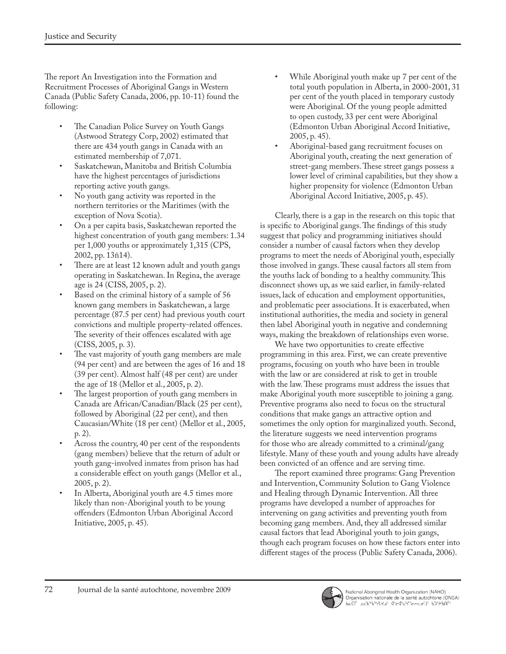The report An Investigation into the Formation and Recruitment Processes of Aboriginal Gangs in Western Canada (Public Safety Canada, 2006, pp. 10-11) found the following:

- The Canadian Police Survey on Youth Gangs (Astwood Strategy Corp, 2002) estimated that there are 434 youth gangs in Canada with an estimated membership of 7,071.
- Saskatchewan, Manitoba and British Columbia have the highest percentages of jurisdictions reporting active youth gangs.
- No youth gang activity was reported in the northern territories or the Maritimes (with the exception of Nova Scotia).
- On a per capita basis, Saskatchewan reported the highest concentration of youth gang members: 1.34 per 1,000 youths or approximately 1,315 (CPS, 2002, pp. 13ñ14).
- There are at least 12 known adult and youth gangs operating in Saskatchewan. In Regina, the average age is 24 (CISS, 2005, p. 2).
- Based on the criminal history of a sample of 56 known gang members in Saskatchewan, a large percentage (87.5 per cent) had previous youth court convictions and multiple property-related offences. The severity of their offences escalated with age (CISS, 2005, p. 3).
- The vast majority of youth gang members are male (94 per cent) and are between the ages of 16 and 18 (39 per cent). Almost half (48 per cent) are under the age of 18 (Mellor et al., 2005, p. 2).
- The largest proportion of youth gang members in Canada are African/Canadian/Black (25 per cent), followed by Aboriginal (22 per cent), and then Caucasian/White (18 per cent) (Mellor et al., 2005, p. 2).
- Across the country, 40 per cent of the respondents (gang members) believe that the return of adult or youth gang-involved inmates from prison has had a considerable effect on youth gangs (Mellor et al., 2005, p. 2).
- In Alberta, Aboriginal youth are 4.5 times more likely than non-Aboriginal youth to be young offenders (Edmonton Urban Aboriginal Accord Initiative, 2005, p. 45).
- While Aboriginal youth make up 7 per cent of the total youth population in Alberta, in 2000-2001, 31 per cent of the youth placed in temporary custody were Aboriginal. Of the young people admitted to open custody, 33 per cent were Aboriginal (Edmonton Urban Aboriginal Accord Initiative, 2005, p. 45).
- Aboriginal-based gang recruitment focuses on Aboriginal youth, creating the next generation of street-gang members. These street gangs possess a lower level of criminal capabilities, but they show a higher propensity for violence (Edmonton Urban Aboriginal Accord Initiative, 2005, p. 45).

Clearly, there is a gap in the research on this topic that is specific to Aboriginal gangs. The findings of this study suggest that policy and programming initiatives should consider a number of causal factors when they develop programs to meet the needs of Aboriginal youth, especially those involved in gangs. These causal factors all stem from the youths lack of bonding to a healthy community. This disconnect shows up, as we said earlier, in family-related issues, lack of education and employment opportunities, and problematic peer associations. It is exacerbated, when institutional authorities, the media and society in general then label Aboriginal youth in negative and condemning ways, making the breakdown of relationships even worse.

We have two opportunities to create effective programming in this area. First, we can create preventive programs, focusing on youth who have been in trouble with the law or are considered at risk to get in trouble with the law. These programs must address the issues that make Aboriginal youth more susceptible to joining a gang. Preventive programs also need to focus on the structural conditions that make gangs an attractive option and sometimes the only option for marginalized youth. Second, the literature suggests we need intervention programs for those who are already committed to a criminal/gang lifestyle. Many of these youth and young adults have already been convicted of an offence and are serving time.

The report examined three programs: Gang Prevention and Intervention, Community Solution to Gang Violence and Healing through Dynamic Intervention. All three programs have developed a number of approaches for intervening on gang activities and preventing youth from becoming gang members. And, they all addressed similar causal factors that lead Aboriginal youth to join gangs, though each program focuses on how these factors enter into different stages of the process (Public Safety Canada, 2006).

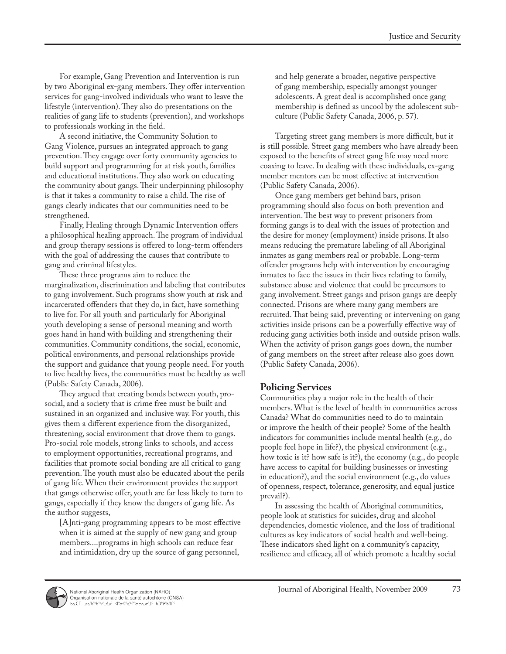For example, Gang Prevention and Intervention is run by two Aboriginal ex-gang members. They offer intervention services for gang-involved individuals who want to leave the lifestyle (intervention). They also do presentations on the realities of gang life to students (prevention), and workshops to professionals working in the field.

A second initiative, the Community Solution to Gang Violence, pursues an integrated approach to gang prevention. They engage over forty community agencies to build support and programming for at risk youth, families and educational institutions. They also work on educating the community about gangs. Their underpinning philosophy is that it takes a community to raise a child. The rise of gangs clearly indicates that our communities need to be strengthened.

Finally, Healing through Dynamic Intervention offers a philosophical healing approach. The program of individual and group therapy sessions is offered to long-term offenders with the goal of addressing the causes that contribute to gang and criminal lifestyles.

These three programs aim to reduce the marginalization, discrimination and labeling that contributes to gang involvement. Such programs show youth at risk and incarcerated offenders that they do, in fact, have something to live for. For all youth and particularly for Aboriginal youth developing a sense of personal meaning and worth goes hand in hand with building and strengthening their communities. Community conditions, the social, economic, political environments, and personal relationships provide the support and guidance that young people need. For youth to live healthy lives, the communities must be healthy as well (Public Safety Canada, 2006).

They argued that creating bonds between youth, prosocial, and a society that is crime free must be built and sustained in an organized and inclusive way. For youth, this gives them a different experience from the disorganized, threatening, social environment that drove them to gangs. Pro-social role models, strong links to schools, and access to employment opportunities, recreational programs, and facilities that promote social bonding are all critical to gang prevention. The youth must also be educated about the perils of gang life. When their environment provides the support that gangs otherwise offer, youth are far less likely to turn to gangs, especially if they know the dangers of gang life. As the author suggests,

[A]nti-gang programming appears to be most effective when it is aimed at the supply of new gang and group members....programs in high schools can reduce fear and intimidation, dry up the source of gang personnel,

and help generate a broader, negative perspective of gang membership, especially amongst younger adolescents. A great deal is accomplished once gang membership is defined as uncool by the adolescent subculture (Public Safety Canada, 2006, p. 57).

Targeting street gang members is more difficult, but it is still possible. Street gang members who have already been exposed to the benefits of street gang life may need more coaxing to leave. In dealing with these individuals, ex-gang member mentors can be most effective at intervention (Public Safety Canada, 2006).

Once gang members get behind bars, prison programming should also focus on both prevention and intervention. The best way to prevent prisoners from forming gangs is to deal with the issues of protection and the desire for money (employment) inside prisons. It also means reducing the premature labeling of all Aboriginal inmates as gang members real or probable. Long-term offender programs help with intervention by encouraging inmates to face the issues in their lives relating to family, substance abuse and violence that could be precursors to gang involvement. Street gangs and prison gangs are deeply connected. Prisons are where many gang members are recruited. That being said, preventing or intervening on gang activities inside prisons can be a powerfully effective way of reducing gang activities both inside and outside prison walls. When the activity of prison gangs goes down, the number of gang members on the street after release also goes down (Public Safety Canada, 2006).

### **Policing Services**

Communities play a major role in the health of their members. What is the level of health in communities across Canada? What do communities need to do to maintain or improve the health of their people? Some of the health indicators for communities include mental health (e.g., do people feel hope in life?), the physical environment (e.g., how toxic is it? how safe is it?), the economy (e.g., do people have access to capital for building businesses or investing in education?), and the social environment (e.g., do values of openness, respect, tolerance, generosity, and equal justice prevail?).

In assessing the health of Aboriginal communities, people look at statistics for suicides, drug and alcohol dependencies, domestic violence, and the loss of traditional cultures as key indicators of social health and well-being. These indicators shed light on a community's capacity, resilience and efficacy, all of which promote a healthy social

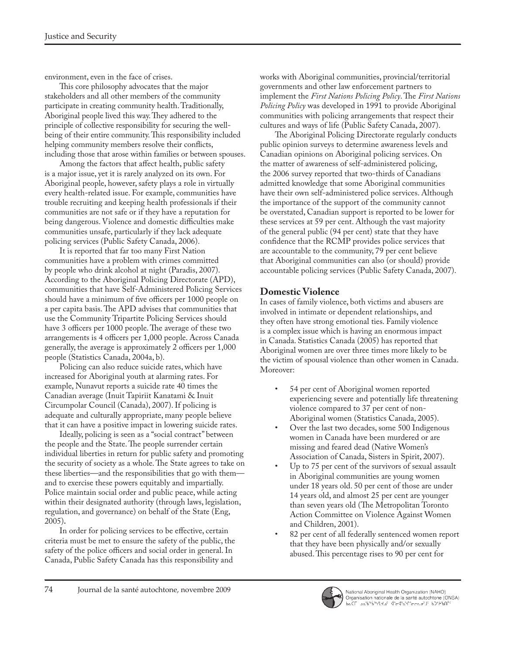environment, even in the face of crises.

This core philosophy advocates that the major stakeholders and all other members of the community participate in creating community health. Traditionally, Aboriginal people lived this way. They adhered to the principle of collective responsibility for securing the wellbeing of their entire community. This responsibility included helping community members resolve their conflicts, including those that arose within families or between spouses.

Among the factors that affect health, public safety is a major issue, yet it is rarely analyzed on its own. For Aboriginal people, however, safety plays a role in virtually every health-related issue. For example, communities have trouble recruiting and keeping health professionals if their communities are not safe or if they have a reputation for being dangerous. Violence and domestic difficulties make communities unsafe, particularly if they lack adequate policing services (Public Safety Canada, 2006).

It is reported that far too many First Nation communities have a problem with crimes committed by people who drink alcohol at night (Paradis, 2007). According to the Aboriginal Policing Directorate (APD), communities that have Self-Administered Policing Services should have a minimum of five officers per 1000 people on a per capita basis. The APD advises that communities that use the Community Tripartite Policing Services should have 3 officers per 1000 people. The average of these two arrangements is 4 officers per 1,000 people. Across Canada generally, the average is approximately 2 officers per 1,000 people (Statistics Canada, 2004a, b).

Policing can also reduce suicide rates, which have increased for Aboriginal youth at alarming rates. For example, Nunavut reports a suicide rate 40 times the Canadian average (Inuit Tapiriit Kanatami & Inuit Circumpolar Council (Canada), 2007). If policing is adequate and culturally appropriate, many people believe that it can have a positive impact in lowering suicide rates.

Ideally, policing is seen as a "social contract" between the people and the State. The people surrender certain individual liberties in return for public safety and promoting the security of society as a whole. The State agrees to take on these liberties—and the responsibilities that go with them and to exercise these powers equitably and impartially. Police maintain social order and public peace, while acting within their designated authority (through laws, legislation, regulation, and governance) on behalf of the State (Eng, 2005).

In order for policing services to be effective, certain criteria must be met to ensure the safety of the public, the safety of the police officers and social order in general. In Canada, Public Safety Canada has this responsibility and

works with Aboriginal communities, provincial/territorial governments and other law enforcement partners to implement the *First Nations Policing Policy*. The *First Nations Policing Policy* was developed in 1991 to provide Aboriginal communities with policing arrangements that respect their cultures and ways of life (Public Safety Canada, 2007).

The Aboriginal Policing Directorate regularly conducts public opinion surveys to determine awareness levels and Canadian opinions on Aboriginal policing services. On the matter of awareness of self-administered policing, the 2006 survey reported that two-thirds of Canadians admitted knowledge that some Aboriginal communities have their own self-administered police services. Although the importance of the support of the community cannot be overstated, Canadian support is reported to be lower for these services at 59 per cent. Although the vast majority of the general public (94 per cent) state that they have confidence that the RCMP provides police services that are accountable to the community, 79 per cent believe that Aboriginal communities can also (or should) provide accountable policing services (Public Safety Canada, 2007).

## **Domestic Violence**

In cases of family violence, both victims and abusers are involved in intimate or dependent relationships, and they often have strong emotional ties. Family violence is a complex issue which is having an enormous impact in Canada. Statistics Canada (2005) has reported that Aboriginal women are over three times more likely to be the victim of spousal violence than other women in Canada. Moreover:

- 54 per cent of Aboriginal women reported experiencing severe and potentially life threatening violence compared to 37 per cent of non-Aboriginal women (Statistics Canada, 2005).
- Over the last two decades, some 500 Indigenous women in Canada have been murdered or are missing and feared dead (Native Women's Association of Canada, Sisters in Spirit, 2007).
- Up to 75 per cent of the survivors of sexual assault in Aboriginal communities are young women under 18 years old. 50 per cent of those are under 14 years old, and almost 25 per cent are younger than seven years old (The Metropolitan Toronto Action Committee on Violence Against Women and Children, 2001).
- 82 per cent of all federally sentenced women report that they have been physically and/or sexually abused. This percentage rises to 90 per cent for

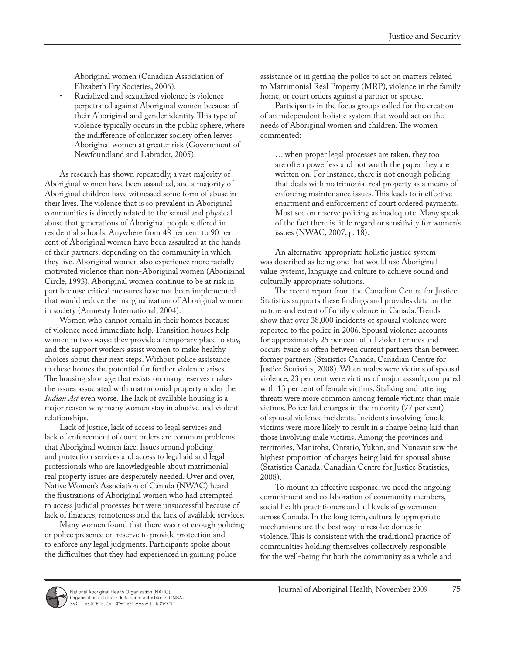Aboriginal women (Canadian Association of Elizabeth Fry Societies, 2006).

Racialized and sexualized violence is violence perpetrated against Aboriginal women because of their Aboriginal and gender identity. This type of violence typically occurs in the public sphere, where the indifference of colonizer society often leaves Aboriginal women at greater risk (Government of Newfoundland and Labrador, 2005).

As research has shown repeatedly, a vast majority of Aboriginal women have been assaulted, and a majority of Aboriginal children have witnessed some form of abuse in their lives. The violence that is so prevalent in Aboriginal communities is directly related to the sexual and physical abuse that generations of Aboriginal people suffered in residential schools. Anywhere from 48 per cent to 90 per cent of Aboriginal women have been assaulted at the hands of their partners, depending on the community in which they live. Aboriginal women also experience more racially motivated violence than non-Aboriginal women (Aboriginal Circle, 1993). Aboriginal women continue to be at risk in part because critical measures have not been implemented that would reduce the marginalization of Aboriginal women in society (Amnesty International, 2004).

Women who cannot remain in their homes because of violence need immediate help. Transition houses help women in two ways: they provide a temporary place to stay, and the support workers assist women to make healthy choices about their next steps. Without police assistance to these homes the potential for further violence arises. The housing shortage that exists on many reserves makes the issues associated with matrimonial property under the *Indian Act* even worse. The lack of available housing is a major reason why many women stay in abusive and violent relationships.

Lack of justice, lack of access to legal services and lack of enforcement of court orders are common problems that Aboriginal women face. Issues around policing and protection services and access to legal aid and legal professionals who are knowledgeable about matrimonial real property issues are desperately needed. Over and over, Native Women's Association of Canada (NWAC) heard the frustrations of Aboriginal women who had attempted to access judicial processes but were unsuccessful because of lack of finances, remoteness and the lack of available services.

Many women found that there was not enough policing or police presence on reserve to provide protection and to enforce any legal judgments. Participants spoke about the difficulties that they had experienced in gaining police

assistance or in getting the police to act on matters related to Matrimonial Real Property (MRP), violence in the family home, or court orders against a partner or spouse.

Participants in the focus groups called for the creation of an independent holistic system that would act on the needs of Aboriginal women and children. The women commented:

… when proper legal processes are taken, they too are often powerless and not worth the paper they are written on. For instance, there is not enough policing that deals with matrimonial real property as a means of enforcing maintenance issues. This leads to ineffective enactment and enforcement of court ordered payments. Most see on reserve policing as inadequate. Many speak of the fact there is little regard or sensitivity for women's issues (NWAC, 2007, p. 18).

An alternative appropriate holistic justice system was described as being one that would use Aboriginal value systems, language and culture to achieve sound and culturally appropriate solutions.

The recent report from the Canadian Centre for Justice Statistics supports these findings and provides data on the nature and extent of family violence in Canada. Trends show that over 38,000 incidents of spousal violence were reported to the police in 2006. Spousal violence accounts for approximately 25 per cent of all violent crimes and occurs twice as often between current partners than between former partners (Statistics Canada, Canadian Centre for Justice Statistics, 2008). When males were victims of spousal violence, 23 per cent were victims of major assault, compared with 13 per cent of female victims. Stalking and uttering threats were more common among female victims than male victims. Police laid charges in the majority (77 per cent) of spousal violence incidents. Incidents involving female victims were more likely to result in a charge being laid than those involving male victims. Among the provinces and territories, Manitoba, Ontario, Yukon, and Nunavut saw the highest proportion of charges being laid for spousal abuse (Statistics Canada, Canadian Centre for Justice Statistics, 2008).

To mount an effective response, we need the ongoing commitment and collaboration of community members, social health practitioners and all levels of government across Canada. In the long term, culturally appropriate mechanisms are the best way to resolve domestic violence. This is consistent with the traditional practice of communities holding themselves collectively responsible for the well-being for both the community as a whole and

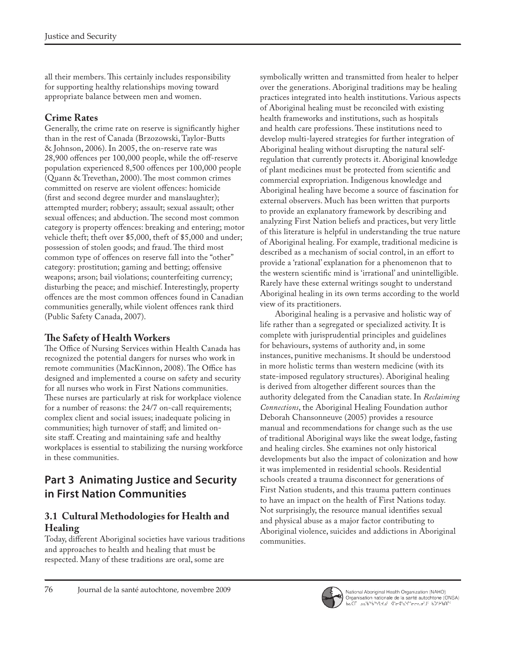all their members. This certainly includes responsibility for supporting healthy relationships moving toward appropriate balance between men and women.

# **Crime Rates**

Generally, the crime rate on reserve is significantly higher than in the rest of Canada (Brzozowski, Taylor-Butts & Johnson, 2006). In 2005, the on-reserve rate was 28,900 offences per 100,000 people, while the off-reserve population experienced 8,500 offences per 100,000 people (Quann & Trevethan, 2000). The most common crimes committed on reserve are violent offences: homicide (first and second degree murder and manslaughter); attempted murder; robbery; assault; sexual assault; other sexual offences; and abduction. The second most common category is property offences: breaking and entering; motor vehicle theft; theft over \$5,000, theft of \$5,000 and under; possession of stolen goods; and fraud. The third most common type of offences on reserve fall into the "other" category: prostitution; gaming and betting; offensive weapons; arson; bail violations; counterfeiting currency; disturbing the peace; and mischief. Interestingly, property offences are the most common offences found in Canadian communities generally, while violent offences rank third (Public Safety Canada, 2007).

# **The Safety of Health Workers**

The Office of Nursing Services within Health Canada has recognized the potential dangers for nurses who work in remote communities (MacKinnon, 2008). The Office has designed and implemented a course on safety and security for all nurses who work in First Nations communities. These nurses are particularly at risk for workplace violence for a number of reasons: the 24/7 on-call requirements; complex client and social issues; inadequate policing in communities; high turnover of staff; and limited onsite staff. Creating and maintaining safe and healthy workplaces is essential to stabilizing the nursing workforce in these communities.

# **Part 3 Animating Justice and Security in First Nation Communities**

### **3.1 Cultural Methodologies for Health and Healing**

Today, different Aboriginal societies have various traditions and approaches to health and healing that must be respected. Many of these traditions are oral, some are

symbolically written and transmitted from healer to helper over the generations. Aboriginal traditions may be healing practices integrated into health institutions. Various aspects of Aboriginal healing must be reconciled with existing health frameworks and institutions, such as hospitals and health care professions. These institutions need to develop multi-layered strategies for further integration of Aboriginal healing without disrupting the natural selfregulation that currently protects it. Aboriginal knowledge of plant medicines must be protected from scientific and commercial expropriation. Indigenous knowledge and Aboriginal healing have become a source of fascination for external observers. Much has been written that purports to provide an explanatory framework by describing and analyzing First Nation beliefs and practices, but very little of this literature is helpful in understanding the true nature of Aboriginal healing. For example, traditional medicine is described as a mechanism of social control, in an effort to provide a 'rational' explanation for a phenomenon that to the western scientific mind is 'irrational' and unintelligible. Rarely have these external writings sought to understand Aboriginal healing in its own terms according to the world view of its practitioners.

Aboriginal healing is a pervasive and holistic way of life rather than a segregated or specialized activity. It is complete with jurisprudential principles and guidelines for behaviours, systems of authority and, in some instances, punitive mechanisms. It should be understood in more holistic terms than western medicine (with its state-imposed regulatory structures). Aboriginal healing is derived from altogether different sources than the authority delegated from the Canadian state. In *Reclaiming Connections*, the Aboriginal Healing Foundation author Deborah Chansonneuve (2005) provides a resource manual and recommendations for change such as the use of traditional Aboriginal ways like the sweat lodge, fasting and healing circles. She examines not only historical developments but also the impact of colonization and how it was implemented in residential schools. Residential schools created a trauma disconnect for generations of First Nation students, and this trauma pattern continues to have an impact on the health of First Nations today. Not surprisingly, the resource manual identifies sexual and physical abuse as a major factor contributing to Aboriginal violence, suicides and addictions in Aboriginal communities.



National Aboriginal Health Organization (NAHO)<br>Organisation nationale de la santé autochtone (ONSA)<br>bالله العامد المستمرين المستمرين المستمرين المستمرين المستمرين المستمرين المستمرين المستمرين المستمرين المستمر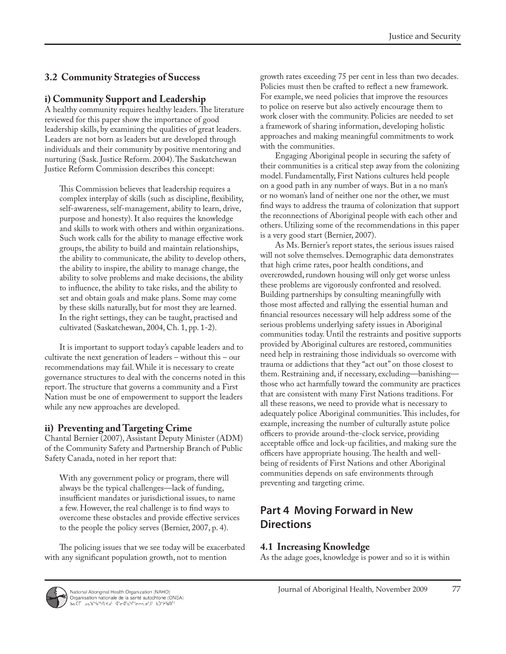## **3.2 Community Strategies of Success**

#### **i) Community Support and Leadership**

A healthy community requires healthy leaders. The literature reviewed for this paper show the importance of good leadership skills, by examining the qualities of great leaders. Leaders are not born as leaders but are developed through individuals and their community by positive mentoring and nurturing (Sask. Justice Reform. 2004). The Saskatchewan Justice Reform Commission describes this concept:

This Commission believes that leadership requires a complex interplay of skills (such as discipline, flexibility, self-awareness, self-management, ability to learn, drive, purpose and honesty). It also requires the knowledge and skills to work with others and within organizations. Such work calls for the ability to manage effective work groups, the ability to build and maintain relationships, the ability to communicate, the ability to develop others, the ability to inspire, the ability to manage change, the ability to solve problems and make decisions, the ability to influence, the ability to take risks, and the ability to set and obtain goals and make plans. Some may come by these skills naturally, but for most they are learned. In the right settings, they can be taught, practised and cultivated (Saskatchewan, 2004, Ch. 1, pp. 1-2).

It is important to support today's capable leaders and to cultivate the next generation of leaders – without this – our recommendations may fail. While it is necessary to create governance structures to deal with the concerns noted in this report. The structure that governs a community and a First Nation must be one of empowerment to support the leaders while any new approaches are developed.

### **ii) Preventing and Targeting Crime**

Chantal Bernier (2007), Assistant Deputy Minister (ADM) of the Community Safety and Partnership Branch of Public Safety Canada, noted in her report that:

With any government policy or program, there will always be the typical challenges—lack of funding, insufficient mandates or jurisdictional issues, to name a few. However, the real challenge is to find ways to overcome these obstacles and provide effective services to the people the policy serves (Bernier, 2007, p. 4).

The policing issues that we see today will be exacerbated with any significant population growth, not to mention

growth rates exceeding 75 per cent in less than two decades. Policies must then be crafted to reflect a new framework. For example, we need policies that improve the resources to police on reserve but also actively encourage them to work closer with the community. Policies are needed to set a framework of sharing information, developing holistic approaches and making meaningful commitments to work with the communities.

Engaging Aboriginal people in securing the safety of their communities is a critical step away from the colonizing model. Fundamentally, First Nations cultures held people on a good path in any number of ways. But in a no man's or no woman's land of neither one nor the other, we must find ways to address the trauma of colonization that support the reconnections of Aboriginal people with each other and others. Utilizing some of the recommendations in this paper is a very good start (Bernier, 2007).

As Ms. Bernier's report states, the serious issues raised will not solve themselves. Demographic data demonstrates that high crime rates, poor health conditions, and overcrowded, rundown housing will only get worse unless these problems are vigorously confronted and resolved. Building partnerships by consulting meaningfully with those most affected and rallying the essential human and financial resources necessary will help address some of the serious problems underlying safety issues in Aboriginal communities today. Until the restraints and positive supports provided by Aboriginal cultures are restored, communities need help in restraining those individuals so overcome with trauma or addictions that they "act out" on those closest to them. Restraining and, if necessary, excluding—banishing those who act harmfully toward the community are practices that are consistent with many First Nations traditions. For all these reasons, we need to provide what is necessary to adequately police Aboriginal communities. This includes, for example, increasing the number of culturally astute police officers to provide around-the-clock service, providing acceptable office and lock-up facilities, and making sure the officers have appropriate housing. The health and wellbeing of residents of First Nations and other Aboriginal communities depends on safe environments through preventing and targeting crime.

# **Part 4 Moving Forward in New Directions**

### **4.1 Increasing Knowledge**

As the adage goes, knowledge is power and so it is within

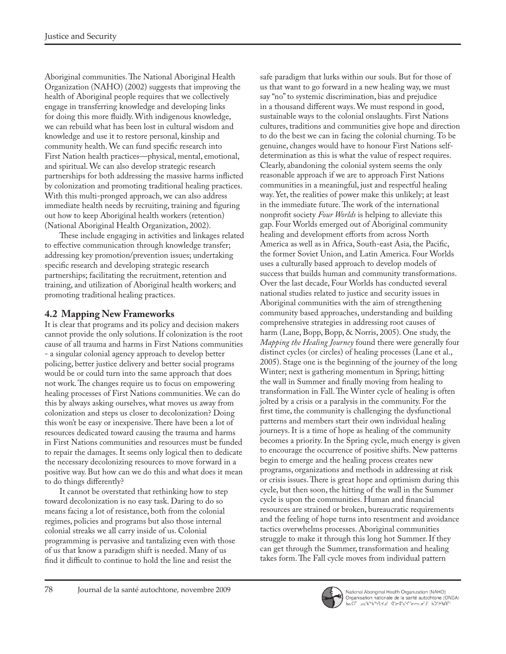Aboriginal communities. The National Aboriginal Health Organization (NAHO) (2002) suggests that improving the health of Aboriginal people requires that we collectively engage in transferring knowledge and developing links for doing this more fluidly. With indigenous knowledge, we can rebuild what has been lost in cultural wisdom and knowledge and use it to restore personal, kinship and community health. We can fund specific research into First Nation health practices—physical, mental, emotional, and spiritual. We can also develop strategic research partnerships for both addressing the massive harms inflicted by colonization and promoting traditional healing practices. With this multi-pronged approach, we can also address immediate health needs by recruiting, training and figuring out how to keep Aboriginal health workers (retention) (National Aboriginal Health Organization, 2002).

These include engaging in activities and linkages related to effective communication through knowledge transfer; addressing key promotion/prevention issues; undertaking specific research and developing strategic research partnerships; facilitating the recruitment, retention and training, and utilization of Aboriginal health workers; and promoting traditional healing practices.

## **4.2 Mapping New Frameworks**

It is clear that programs and its policy and decision makers cannot provide the only solutions. If colonization is the root cause of all trauma and harms in First Nations communities - a singular colonial agency approach to develop better policing, better justice delivery and better social programs would be or could turn into the same approach that does not work. The changes require us to focus on empowering healing processes of First Nations communities. We can do this by always asking ourselves, what moves us away from colonization and steps us closer to decolonization? Doing this won't be easy or inexpensive. There have been a lot of resources dedicated toward causing the trauma and harms in First Nations communities and resources must be funded to repair the damages. It seems only logical then to dedicate the necessary decolonizing resources to move forward in a positive way. But how can we do this and what does it mean to do things differently?

It cannot be overstated that rethinking how to step toward decolonization is no easy task. Daring to do so means facing a lot of resistance, both from the colonial regimes, policies and programs but also those internal colonial streaks we all carry inside of us. Colonial programming is pervasive and tantalizing even with those of us that know a paradigm shift is needed. Many of us find it difficult to continue to hold the line and resist the

safe paradigm that lurks within our souls. But for those of us that want to go forward in a new healing way, we must say "no" to systemic discrimination, bias and prejudice in a thousand different ways. We must respond in good, sustainable ways to the colonial onslaughts. First Nations cultures, traditions and communities give hope and direction to do the best we can in facing the colonial churning. To be genuine, changes would have to honour First Nations selfdetermination as this is what the value of respect requires. Clearly, abandoning the colonial system seems the only reasonable approach if we are to approach First Nations communities in a meaningful, just and respectful healing way. Yet, the realities of power make this unlikely; at least in the immediate future. The work of the international nonprofit society *Four Worlds* is helping to alleviate this gap. Four Worlds emerged out of Aboriginal community healing and development efforts from across North America as well as in Africa, South-east Asia, the Pacific, the former Soviet Union, and Latin America. Four Worlds uses a culturally based approach to develop models of success that builds human and community transformations. Over the last decade, Four Worlds has conducted several national studies related to justice and security issues in Aboriginal communities with the aim of strengthening community based approaches, understanding and building comprehensive strategies in addressing root causes of harm (Lane, Bopp, Bopp, & Norris, 2005). One study, the *Mapping the Healing Journey* found there were generally four distinct cycles (or circles) of healing processes (Lane et al., 2005). Stage one is the beginning of the journey of the long Winter; next is gathering momentum in Spring; hitting the wall in Summer and finally moving from healing to transformation in Fall. The Winter cycle of healing is often jolted by a crisis or a paralysis in the community. For the first time, the community is challenging the dysfunctional patterns and members start their own individual healing journeys. It is a time of hope as healing of the community becomes a priority. In the Spring cycle, much energy is given to encourage the occurrence of positive shifts. New patterns begin to emerge and the healing process creates new programs, organizations and methods in addressing at risk or crisis issues. There is great hope and optimism during this cycle, but then soon, the hitting of the wall in the Summer cycle is upon the communities. Human and financial resources are strained or broken, bureaucratic requirements and the feeling of hope turns into resentment and avoidance tactics overwhelms processes. Aboriginal communities struggle to make it through this long hot Summer. If they can get through the Summer, transformation and healing takes form. The Fall cycle moves from individual pattern



National Aboriginal Health Organization (NAHO)<br>Organisation nationale de la santé autochtone (ONSA)<br>bالله العامد المستمرين المستمرين المستمرين المستمرين المستمرين المستمرين المستمرين المستمرين المستمرين المستمر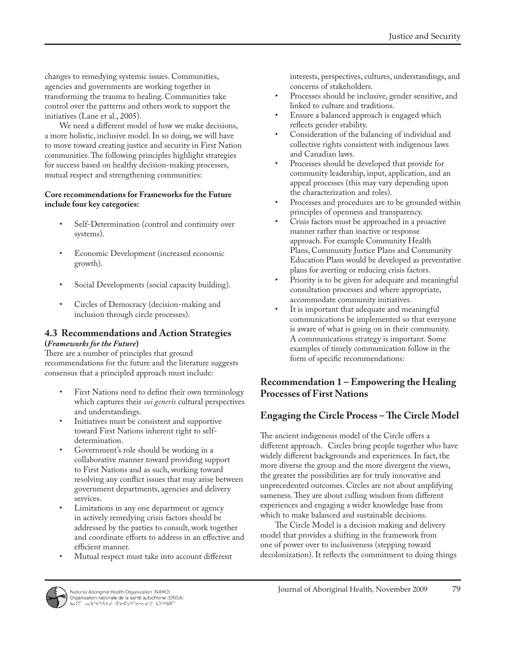changes to remedying systemic issues. Communities, agencies and governments are working together in transforming the trauma to healing. Communities take control over the patterns and others work to support the initiatives (Lane et al., 2005).

We need a different model of how we make decisions, a more holistic, inclusive model. In so doing, we will have to move toward creating justice and security in First Nation communities. The following principles highlight strategies for success based on healthy decision-making processes, mutual respect and strengthening communities:

#### **Core recommendations for Frameworks for the Future include four key categories:**

- Self-Determination (control and continuity over systems).
- Economic Development (increased economic growth).
- Social Developments (social capacity building).
- Circles of Democracy (decision-making and inclusion through circle processes).

#### **4.3 Recommendations and Action Strategies (***Frameworks for the Future***)**

There are a number of principles that ground recommendations for the future and the literature suggests consensus that a principled approach must include:

- First Nations need to define their own terminology which captures their *sui generis* cultural perspectives and understandings.
- Initiatives must be consistent and supportive toward First Nations inherent right to selfdetermination.
- Government's role should be working in a collaborative manner toward providing support to First Nations and as such, working toward resolving any conflict issues that may arise between government departments, agencies and delivery services.
- Limitations in any one department or agency in actively remedying crisis factors should be addressed by the parties to consult, work together and coordinate efforts to address in an effective and efficient manner.
- Mutual respect must take into account different

interests, perspectives, cultures, understandings, and concerns of stakeholders.

- Processes should be inclusive, gender sensitive, and linked to culture and traditions.
- Ensure a balanced approach is engaged which reflects gender stability.
- Consideration of the balancing of individual and collective rights consistent with indigenous laws and Canadian laws.
- Processes should be developed that provide for community leadership, input, application, and an appeal processes (this may vary depending upon the characterization and roles).
- Processes and procedures are to be grounded within principles of openness and transparency.
- Crisis factors must be approached in a proactive manner rather than inactive or response approach. For example Community Health Plans, Community Justice Plans and Community Education Plans would be developed as preventative plans for averting or reducing crisis factors.
- Priority is to be given for adequate and meaningful consultation processes and where appropriate, accommodate community initiatives.
- It is important that adequate and meaningful communications be implemented so that everyone is aware of what is going on in their community. A communications strategy is important. Some examples of timely communication follow in the form of specific recommendations:

### **Recommendation 1 – Empowering the Healing Processes of First Nations**

### **Engaging the Circle Process – The Circle Model**

The ancient indigenous model of the Circle offers a different approach. Circles bring people together who have widely different backgrounds and experiences. In fact, the more diverse the group and the more divergent the views, the greater the possibilities are for truly innovative and unprecedented outcomes. Circles are not about amplifying sameness. They are about culling wisdom from different experiences and engaging a wider knowledge base from which to make balanced and sustainable decisions.

The Circle Model is a decision making and delivery model that provides a shifting in the framework from one of power over to inclusiveness (stepping toward decolonization). It reflects the commitment to doing things

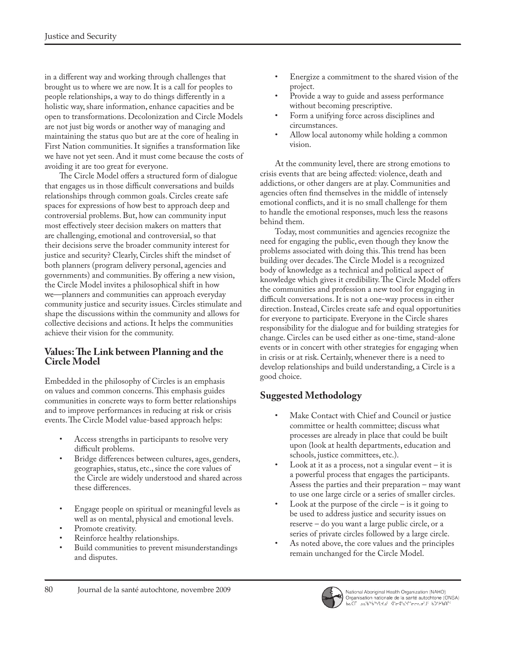in a different way and working through challenges that brought us to where we are now. It is a call for peoples to people relationships, a way to do things differently in a holistic way, share information, enhance capacities and be open to transformations. Decolonization and Circle Models are not just big words or another way of managing and maintaining the status quo but are at the core of healing in First Nation communities. It signifies a transformation like we have not yet seen. And it must come because the costs of avoiding it are too great for everyone.

The Circle Model offers a structured form of dialogue that engages us in those difficult conversations and builds relationships through common goals. Circles create safe spaces for expressions of how best to approach deep and controversial problems. But, how can community input most effectively steer decision makers on matters that are challenging, emotional and controversial, so that their decisions serve the broader community interest for justice and security? Clearly, Circles shift the mindset of both planners (program delivery personal, agencies and governments) and communities. By offering a new vision, the Circle Model invites a philosophical shift in how we—planners and communities can approach everyday community justice and security issues. Circles stimulate and shape the discussions within the community and allows for collective decisions and actions. It helps the communities achieve their vision for the community.

### **Values: The Link between Planning and the Circle Model**

Embedded in the philosophy of Circles is an emphasis on values and common concerns. This emphasis guides communities in concrete ways to form better relationships and to improve performances in reducing at risk or crisis events. The Circle Model value-based approach helps:

- Access strengths in participants to resolve very difficult problems.
- Bridge differences between cultures, ages, genders, geographies, status, etc., since the core values of the Circle are widely understood and shared across these differences.
- Engage people on spiritual or meaningful levels as well as on mental, physical and emotional levels.
- Promote creativity.
- Reinforce healthy relationships.
- Build communities to prevent misunderstandings and disputes.
- Energize a commitment to the shared vision of the project.
- Provide a way to guide and assess performance without becoming prescriptive.
- Form a unifying force across disciplines and circumstances.
- Allow local autonomy while holding a common vision.

At the community level, there are strong emotions to crisis events that are being affected: violence, death and addictions, or other dangers are at play. Communities and agencies often find themselves in the middle of intensely emotional conflicts, and it is no small challenge for them to handle the emotional responses, much less the reasons behind them.

Today, most communities and agencies recognize the need for engaging the public, even though they know the problems associated with doing this. This trend has been building over decades. The Circle Model is a recognized body of knowledge as a technical and political aspect of knowledge which gives it credibility. The Circle Model offers the communities and profession a new tool for engaging in difficult conversations. It is not a one-way process in either direction. Instead, Circles create safe and equal opportunities for everyone to participate. Everyone in the Circle shares responsibility for the dialogue and for building strategies for change. Circles can be used either as one-time, stand-alone events or in concert with other strategies for engaging when in crisis or at risk. Certainly, whenever there is a need to develop relationships and build understanding, a Circle is a good choice.

### **Suggested Methodology**

- Make Contact with Chief and Council or justice committee or health committee; discuss what processes are already in place that could be built upon (look at health departments, education and schools, justice committees, etc.).
- Look at it as a process, not a singular event  $-$  it is a powerful process that engages the participants. Assess the parties and their preparation – may want to use one large circle or a series of smaller circles.
- Look at the purpose of the circle  $-$  is it going to be used to address justice and security issues on reserve – do you want a large public circle, or a series of private circles followed by a large circle.
- As noted above, the core values and the principles remain unchanged for the Circle Model.

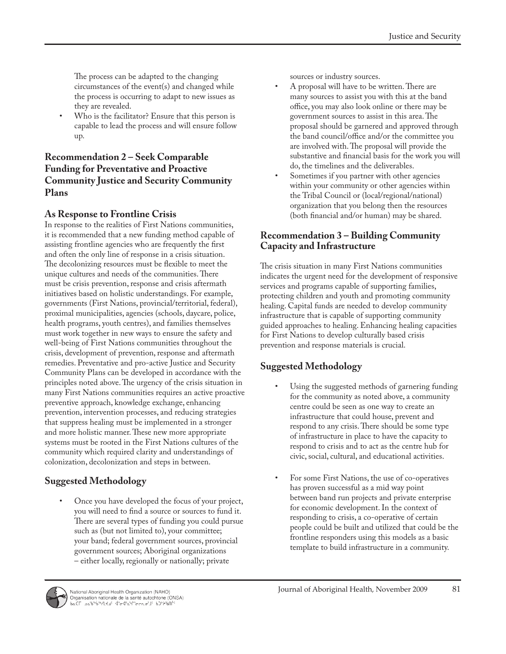The process can be adapted to the changing circumstances of the event(s) and changed while the process is occurring to adapt to new issues as they are revealed.

• Who is the facilitator? Ensure that this person is capable to lead the process and will ensure follow up.

### **Recommendation 2 – Seek Comparable Funding for Preventative and Proactive Community Justice and Security Community Plans**

### **As Response to Frontline Crisis**

In response to the realities of First Nations communities, it is recommended that a new funding method capable of assisting frontline agencies who are frequently the first and often the only line of response in a crisis situation. The decolonizing resources must be flexible to meet the unique cultures and needs of the communities. There must be crisis prevention, response and crisis aftermath initiatives based on holistic understandings. For example, governments (First Nations, provincial/territorial, federal), proximal municipalities, agencies (schools, daycare, police, health programs, youth centres), and families themselves must work together in new ways to ensure the safety and well-being of First Nations communities throughout the crisis, development of prevention, response and aftermath remedies. Preventative and pro-active Justice and Security Community Plans can be developed in accordance with the principles noted above. The urgency of the crisis situation in many First Nations communities requires an active proactive preventive approach, knowledge exchange, enhancing prevention, intervention processes, and reducing strategies that suppress healing must be implemented in a stronger and more holistic manner. These new more appropriate systems must be rooted in the First Nations cultures of the community which required clarity and understandings of colonization, decolonization and steps in between.

# **Suggested Methodology**

• Once you have developed the focus of your project, you will need to find a source or sources to fund it. There are several types of funding you could pursue such as (but not limited to), your committee; your band; federal government sources, provincial government sources; Aboriginal organizations – either locally, regionally or nationally; private

sources or industry sources.

- A proposal will have to be written. There are many sources to assist you with this at the band office, you may also look online or there may be government sources to assist in this area. The proposal should be garnered and approved through the band council/office and/or the committee you are involved with. The proposal will provide the substantive and financial basis for the work you will do, the timelines and the deliverables.
- Sometimes if you partner with other agencies within your community or other agencies within the Tribal Council or (local/regional/national) organization that you belong then the resources (both financial and/or human) may be shared.

### **Recommendation 3 – Building Community Capacity and Infrastructure**

The crisis situation in many First Nations communities indicates the urgent need for the development of responsive services and programs capable of supporting families, protecting children and youth and promoting community healing. Capital funds are needed to develop community infrastructure that is capable of supporting community guided approaches to healing. Enhancing healing capacities for First Nations to develop culturally based crisis prevention and response materials is crucial.

# **Suggested Methodology**

- Using the suggested methods of garnering funding for the community as noted above, a community centre could be seen as one way to create an infrastructure that could house, prevent and respond to any crisis. There should be some type of infrastructure in place to have the capacity to respond to crisis and to act as the centre hub for civic, social, cultural, and educational activities.
- For some First Nations, the use of co-operatives has proven successful as a mid way point between band run projects and private enterprise for economic development. In the context of responding to crisis, a co-operative of certain people could be built and utilized that could be the frontline responders using this models as a basic template to build infrastructure in a community.

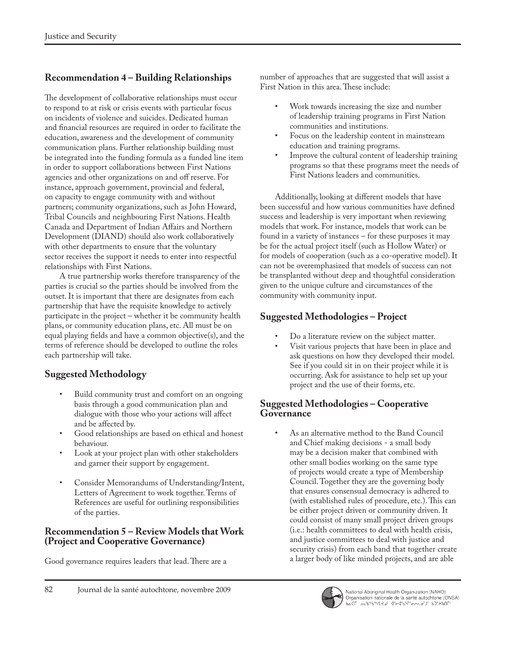# **Recommendation 4 – Building Relationships**

The development of collaborative relationships must occur to respond to at risk or crisis events with particular focus on incidents of violence and suicides. Dedicated human and financial resources are required in order to facilitate the education, awareness and the development of community communication plans. Further relationship building must be integrated into the funding formula as a funded line item in order to support collaborations between First Nations agencies and other organizations on and off reserve. For instance, approach government, provincial and federal, on capacity to engage community with and without partners; community organizations, such as John Howard, Tribal Councils and neighbouring First Nations. Health Canada and Department of Indian Affairs and Northern Development (DIAND) should also work collaboratively with other departments to ensure that the voluntary sector receives the support it needs to enter into respectful relationships with First Nations.

A true partnership works therefore transparency of the parties is crucial so the parties should be involved from the outset. It is important that there are designates from each partnership that have the requisite knowledge to actively participate in the project – whether it be community health plans, or community education plans, etc. All must be on equal playing fields and have a common objective(s), and the terms of reference should be developed to outline the roles each partnership will take.

# **Suggested Methodology**

- Build community trust and comfort on an ongoing basis through a good communication plan and dialogue with those who your actions will affect and be affected by.
- Good relationships are based on ethical and honest behaviour.
- Look at your project plan with other stakeholders and garner their support by engagement.
- Consider Memorandums of Understanding/Intent, Letters of Agreement to work together. Terms of References are useful for outlining responsibilities of the parties.

### **Recommendation 5 – Review Models that Work (Project and Cooperative Governance)**

Good governance requires leaders that lead. There are a

number of approaches that are suggested that will assist a First Nation in this area. These include:

- Work towards increasing the size and number of leadership training programs in First Nation communities and institutions.
- Focus on the leadership content in mainstream education and training programs.
- Improve the cultural content of leadership training programs so that these programs meet the needs of First Nations leaders and communities.

Additionally, looking at different models that have been successful and how various communities have defined success and leadership is very important when reviewing models that work. For instance, models that work can be found in a variety of instances – for these purposes it may be for the actual project itself (such as Hollow Water) or for models of cooperation (such as a co-operative model). It can not be overemphasized that models of success can not be transplanted without deep and thoughtful consideration given to the unique culture and circumstances of the community with community input.

# **Suggested Methodologies – Project**

- Do a literature review on the subject matter.
- Visit various projects that have been in place and ask questions on how they developed their model. See if you could sit in on their project while it is occurring. Ask for assistance to help set up your project and the use of their forms, etc.

#### **Suggested Methodologies – Cooperative Governance**

• As an alternative method to the Band Council and Chief making decisions - a small body may be a decision maker that combined with other small bodies working on the same type of projects would create a type of Membership Council. Together they are the governing body that ensures consensual democracy is adhered to (with established rules of procedure, etc.). This can be either project driven or community driven. It could consist of many small project driven groups (i.e.: health committees to deal with health crisis, and justice committees to deal with justice and security crisis) from each band that together create a larger body of like minded projects, and are able

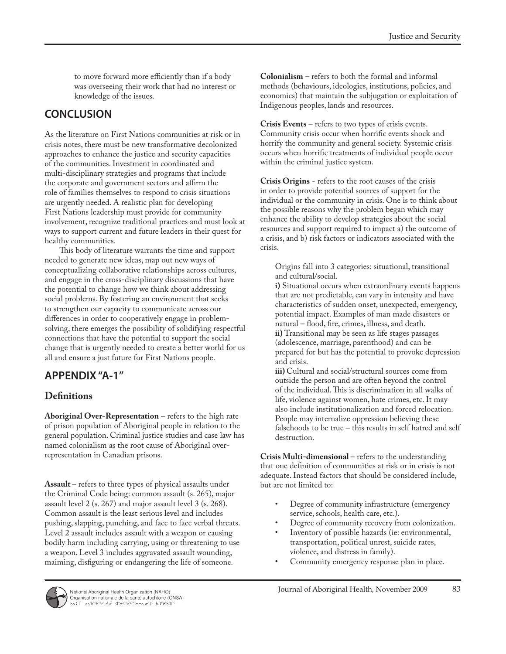to move forward more efficiently than if a body was overseeing their work that had no interest or knowledge of the issues.

# **CONCLUSION**

As the literature on First Nations communities at risk or in crisis notes, there must be new transformative decolonized approaches to enhance the justice and security capacities of the communities. Investment in coordinated and multi-disciplinary strategies and programs that include the corporate and government sectors and affirm the role of families themselves to respond to crisis situations are urgently needed. A realistic plan for developing First Nations leadership must provide for community involvement, recognize traditional practices and must look at ways to support current and future leaders in their quest for healthy communities.

This body of literature warrants the time and support needed to generate new ideas, map out new ways of conceptualizing collaborative relationships across cultures, and engage in the cross-disciplinary discussions that have the potential to change how we think about addressing social problems. By fostering an environment that seeks to strengthen our capacity to communicate across our differences in order to cooperatively engage in problemsolving, there emerges the possibility of solidifying respectful connections that have the potential to support the social change that is urgently needed to create a better world for us all and ensure a just future for First Nations people.

# **APPENDIX "A-1"**

### **Definitions**

**Aboriginal Over-Representation** – refers to the high rate of prison population of Aboriginal people in relation to the general population. Criminal justice studies and case law has named colonialism as the root cause of Aboriginal overrepresentation in Canadian prisons.

**Assault** – refers to three types of physical assaults under the Criminal Code being: common assault (s. 265), major assault level 2 (s. 267) and major assault level 3 (s. 268). Common assault is the least serious level and includes pushing, slapping, punching, and face to face verbal threats. Level 2 assault includes assault with a weapon or causing bodily harm including carrying, using or threatening to use a weapon. Level 3 includes aggravated assault wounding, maiming, disfiguring or endangering the life of someone.

**Colonialism** – refers to both the formal and informal methods (behaviours, ideologies, institutions, policies, and economics) that maintain the subjugation or exploitation of Indigenous peoples, lands and resources.

**Crisis Events** – refers to two types of crisis events. Community crisis occur when horrific events shock and horrify the community and general society. Systemic crisis occurs when horrific treatments of individual people occur within the criminal justice system.

**Crisis Origins** - refers to the root causes of the crisis in order to provide potential sources of support for the individual or the community in crisis. One is to think about the possible reasons why the problem began which may enhance the ability to develop strategies about the social resources and support required to impact a) the outcome of a crisis, and b) risk factors or indicators associated with the crisis.

Origins fall into 3 categories: situational, transitional and cultural/social.

**i)** Situational occurs when extraordinary events happens that are not predictable, can vary in intensity and have characteristics of sudden onset, unexpected, emergency, potential impact. Examples of man made disasters or natural – flood, fire, crimes, illness, and death. **ii)** Transitional may be seen as life stages passages (adolescence, marriage, parenthood) and can be prepared for but has the potential to provoke depression and crisis.

**iii)** Cultural and social/structural sources come from outside the person and are often beyond the control of the individual. This is discrimination in all walks of life, violence against women, hate crimes, etc. It may also include institutionalization and forced relocation. People may internalize oppression believing these falsehoods to be true – this results in self hatred and self destruction.

**Crisis Multi-dimensional** – refers to the understanding that one definition of communities at risk or in crisis is not adequate. Instead factors that should be considered include, but are not limited to:

- Degree of community infrastructure (emergency service, schools, health care, etc.).
- Degree of community recovery from colonization.
- Inventory of possible hazards (ie: environmental, transportation, political unrest, suicide rates, violence, and distress in family).
- Community emergency response plan in place.

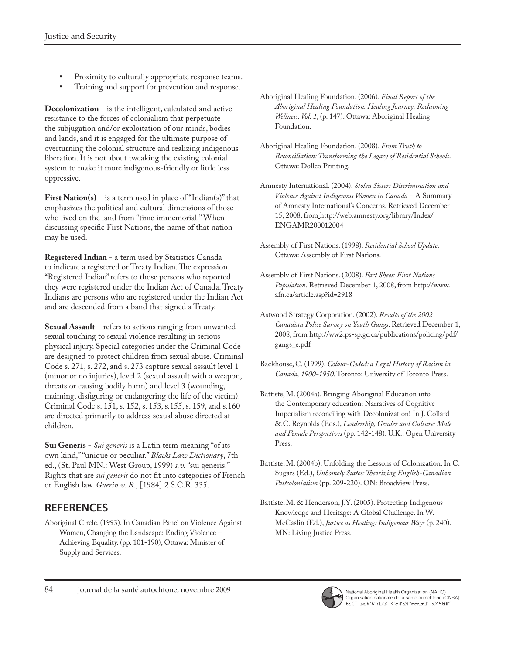- Proximity to culturally appropriate response teams.
- Training and support for prevention and response.

**Decolonization** – is the intelligent, calculated and active resistance to the forces of colonialism that perpetuate the subjugation and/or exploitation of our minds, bodies and lands, and it is engaged for the ultimate purpose of overturning the colonial structure and realizing indigenous liberation. It is not about tweaking the existing colonial system to make it more indigenous-friendly or little less oppressive.

**First Nation(s)** – is a term used in place of "Indian(s)" that emphasizes the political and cultural dimensions of those who lived on the land from "time immemorial." When discussing specific First Nations, the name of that nation may be used.

**Registered Indian** - a term used by Statistics Canada to indicate a registered or Treaty Indian. The expression "Registered Indian" refers to those persons who reported they were registered under the Indian Act of Canada. Treaty Indians are persons who are registered under the Indian Act and are descended from a band that signed a Treaty.

**Sexual Assault** – refers to actions ranging from unwanted sexual touching to sexual violence resulting in serious physical injury. Special categories under the Criminal Code are designed to protect children from sexual abuse. Criminal Code s. 271, s. 272, and s. 273 capture sexual assault level 1 (minor or no injuries), level 2 (sexual assault with a weapon, threats or causing bodily harm) and level 3 (wounding, maiming, disfiguring or endangering the life of the victim). Criminal Code s. 151, s. 152, s. 153, s.155, s. 159, and s.160 are directed primarily to address sexual abuse directed at children.

**Sui Generis** - *Sui generis* is a Latin term meaning "of its own kind," "unique or peculiar." *Blacks Law Dictionary*, 7th ed., (St. Paul MN.: West Group, 1999) *s.v.* "sui generis." Rights that are *sui generis* do not fit into categories of French or English law. *Guerin v. R.,* [1984] 2 S.C.R. 335.

# **REFERENCES**

Aboriginal Circle. (1993). In Canadian Panel on Violence Against Women, Changing the Landscape: Ending Violence – Achieving Equality. (pp. 101-190), Ottawa: Minister of Supply and Services.

- Aboriginal Healing Foundation. (2006). *Final Report of the Aboriginal Healing Foundation: Healing Journey: Reclaiming Wellness. Vol. 1*, (p. 147). Ottawa: Aboriginal Healing Foundation.
- Aboriginal Healing Foundation. (2008). *From Truth to Reconciliation: Transforming the Legacy of Residential Schools*. Ottawa: Dollco Printing.
- Amnesty International. (2004). *Stolen Sisters Discrimination and Violence Against Indigenous Women in Canada* – A Summary of Amnesty International's Concerns. Retrieved December 15, 2008, from http://web.amnesty.org/library/Index/ ENGAMR200012004
- Assembly of First Nations. (1998). *Residential School Update*. Ottawa: Assembly of First Nations.
- Assembly of First Nations. (2008). *Fact Sheet: First Nations Population*. Retrieved December 1, 2008, from http://www. afn.ca/article.asp?id=2918
- Astwood Strategy Corporation. (2002). *Results of the 2002 Canadian Police Survey on Youth Gangs*. Retrieved December 1, 2008, from http://ww2.ps-sp.gc.ca/publications/policing/pdf/ gangs\_e.pdf
- Backhouse, C. (1999). *Colour-Coded: a Legal History of Racism in Canada, 1900-1950*. Toronto: University of Toronto Press.
- Battiste, M. (2004a). Bringing Aboriginal Education into the Contemporary education: Narratives of Cognitive Imperialism reconciling with Decolonization! In J. Collard & C. Reynolds (Eds.), *Leadership, Gender and Culture: Male and Female Perspectives* (pp. 142-148). U.K.: Open University Press.
- Battiste, M. (2004b). Unfolding the Lessons of Colonization. In C. Sugars (Ed.), *Unhomely States: Theorizing English-Canadian Postcolonialism* (pp. 209-220). ON: Broadview Press.
- Battiste, M. & Henderson, J.Y. (2005). Protecting Indigenous Knowledge and Heritage: A Global Challenge. In W. McCaslin (Ed.), *Justice as Healing: Indigenous Ways* (p. 240). MN: Living Justice Press.

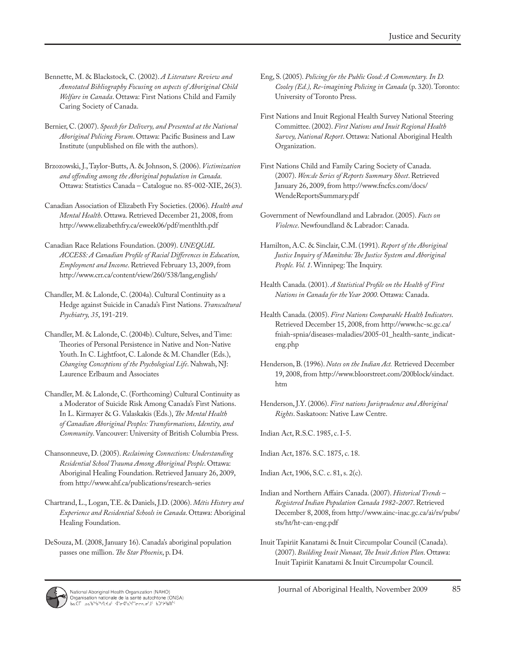- Bennette, M. & Blackstock, C. (2002). *A Literature Review and Annotated Bibliography Focusing on aspects of Aboriginal Child Welfare in Canada*. Ottawa: First Nations Child and Family Caring Society of Canada.
- Bernier, C. (2007). *Speech for Delivery, and Presented at the National Aboriginal Policing Forum*. Ottawa: Pacific Business and Law Institute (unpublished on file with the authors).
- Brzozowski, J., Taylor-Butts, A. & Johnson, S. (2006). *Victimization and offending among the Aboriginal population in Canada*. Ottawa: Statistics Canada – Catalogue no. 85-002-XIE, 26(3).
- Canadian Association of Elizabeth Fry Societies. (2006). *Health and Mental Health*. Ottawa. Retrieved December 21, 2008, from http://www.elizabethfry.ca/eweek06/pdf/menthlth.pdf
- Canadian Race Relations Foundation. (2009). *UNEQUAL ACCESS: A Canadian Profile of Racial Differences in Education, Employment and Income*. Retrieved February 13, 2009, from http://www.crr.ca/content/view/260/538/lang,english/
- Chandler, M. & Lalonde, C. (2004a). Cultural Continuity as a Hedge against Suicide in Canada's First Nations. *Transcultural Psychiatry, 35*, 191-219.
- Chandler, M. & Lalonde, C. (2004b). Culture, Selves, and Time: Theories of Personal Persistence in Native and Non-Native Youth. In C. Lightfoot, C. Lalonde & M. Chandler (Eds.), *Changing Conceptions of the Psychological Life*. Nahwah, NJ: Laurence Erlbaum and Associates
- Chandler, M. & Lalonde, C. (Forthcoming) Cultural Continuity as a Moderator of Suicide Risk Among Canada's First Nations. In L. Kirmayer & G. Valaskakis (Eds.), *The Mental Health of Canadian Aboriginal Peoples: Transformations, Identity, and Community*. Vancouver: University of British Columbia Press.
- Chansonneuve, D. (2005). *Reclaiming Connections: Understanding Residential School Trauma Among Aboriginal People*. Ottawa: Aboriginal Healing Foundation. Retrieved January 26, 2009, from http://www.ahf.ca/publications/research-series
- Chartrand, L., Logan, T.E. & Daniels, J.D. (2006). *Métis History and Experience and Residential Schools in Canada*. Ottawa: Aboriginal Healing Foundation.
- DeSouza, M. (2008, January 16). Canada's aboriginal population passes one million. *The Star Phoenix*, p. D4.
- Eng, S. (2005). *Policing for the Public Good: A Commentary. In D. Cooley (Ed.), Re-imagining Policing in Canada* (p. 320). Toronto: University of Toronto Press.
- First Nations and Inuit Regional Health Survey National Steering Committee. (2002). *First Nations and Inuit Regional Health Survey, National Report*. Ottawa: National Aboriginal Health Organization.
- First Nations Child and Family Caring Society of Canada. (2007). *Wen:de Series of Reports Summary Sheet*. Retrieved January 26, 2009, from http://www.fncfcs.com/docs/ WendeReportsSummary.pdf
- Government of Newfoundland and Labrador. (2005). *Facts on Violence*. Newfoundland & Labrador: Canada.
- Hamilton, A.C. & Sinclair, C.M. (1991). *Report of the Aboriginal Justice Inquiry of Manitoba: The Justice System and Aboriginal People. Vol. 1*. Winnipeg: The Inquiry.
- Health Canada. (2001). *A Statistical Profile on the Health of First Nations in Canada for the Year 2000*. Ottawa: Canada.
- Health Canada. (2005). *First Nations Comparable Health Indicators*. Retrieved December 15, 2008, from http://www.hc-sc.gc.ca/ fniah-spnia/diseases-maladies/2005-01\_health-sante\_indicateng.php
- Henderson, B. (1996). *Notes on the Indian Act.* Retrieved December 19, 2008, from http://www.bloorstreet.com/200block/sindact. htm
- Henderson, J.Y. (2006). *First nations Jurisprudence and Aboriginal Rights*. Saskatoon: Native Law Centre.

Indian Act, R.S.C. 1985, c. I-5.

Indian Act, 1876. S.C. 1875, c. 18.

Indian Act, 1906, S.C. c. 81, s. 2(c).

- Indian and Northern Affairs Canada. (2007). *Historical Trends Registered Indian Population Canada 1982-2007*. Retrieved December 8, 2008, from http://www.ainc-inac.gc.ca/ai/rs/pubs/ sts/ht/ht-can-eng.pdf
- Inuit Tapiriit Kanatami & Inuit Circumpolar Council (Canada). (2007). *Building Inuit Nunaat, The Inuit Action Plan*. Ottawa: Inuit Tapiriit Kanatami & Inuit Circumpolar Council.

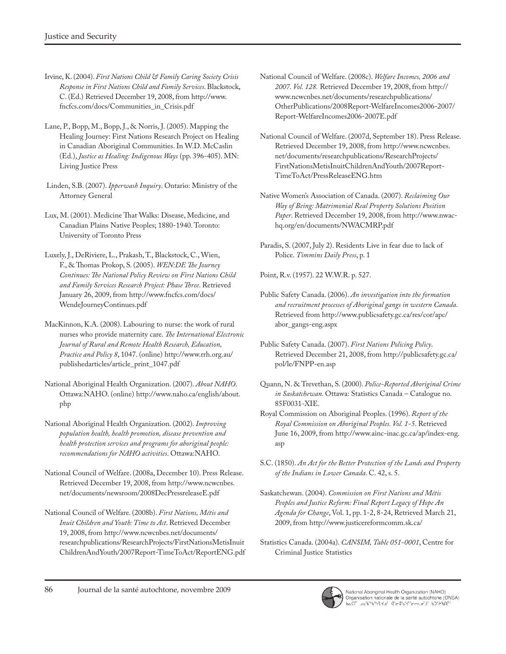- Irvine, K. (2004). *First Nations Child & Family Caring Society Crisis Response in First Nations Child and Family Services*. Blackstock, C. (Ed.) Retrieved December 19, 2008, from http://www. fncfcs.com/docs/Communities\_in\_Crisis.pdf
- Lane, P., Bopp, M., Bopp, J., & Norris, J. (2005). Mapping the Healing Journey: First Nations Research Project on Healing in Canadian Aboriginal Communities. In W.D. McCaslin (Ed.), *Justice as Healing: Indigenous Ways* (pp. 396-405). MN: Living Justice Press
- Linden, S.B. (2007). *Ipperwash Inquiry*. Ontario: Ministry of the Attorney General
- Lux, M. (2001). Medicine That Walks: Disease, Medicine, and Canadian Plains Native Peoples; 1880-1940. Toronto: University of Toronto Press
- Luxely, J., DeRiviere, L., Prakash, T., Blackstock, C., Wien, F., & Thomas Prokop, S. (2005). *WEN:DE The Journey Continues: The National Policy Review on First Nations Child and Family Services Research Project: Phase Three*. Retrieved January 26, 2009, from http://www.fncfcs.com/docs/ WendeJourneyContinues.pdf
- MacKinnon, K.A. (2008). Labouring to nurse: the work of rural nurses who provide maternity care. *The International Electronic Journal of Rural and Remote Health Research, Education, Practice and Policy 8*, 1047. (online) http://www.rrh.org.au/ publishedarticles/article\_print\_1047.pdf
- National Aboriginal Health Organization. (2007). *About NAHO*. Ottawa:NAHO. (online) http://www.naho.ca/english/about. php
- National Aboriginal Health Organization. (2002). *Improving population health, health promotion, disease prevention and health protection services and programs for aboriginal people: recommendations for NAHO activities*. Ottawa:NAHO.
- National Council of Welfare. (2008a, December 10). Press Release. Retrieved December 19, 2008, from http://www.ncwcnbes. net/documents/newsroom/2008DecPressreleaseE.pdf
- National Council of Welfare. (2008b). *First Nations, Métis and Inuit Children and Youth: Time to Act*. Retrieved December 19, 2008, from http://www.ncwcnbes.net/documents/ researchpublications/ResearchProjects/FirstNationsMetisInuit ChildrenAndYouth/2007Report-TimeToAct/ReportENG.pdf
- National Council of Welfare. (2008c). *Welfare Incomes, 2006 and 2007. Vol. 128.* Retrieved December 19, 2008, from http:// www.ncwcnbes.net/documents/researchpublications/ OtherPublications/2008Report-WelfareIncomes2006-2007/ Report-WelfareIncomes2006-2007E.pdf
- National Council of Welfare. (2007d, September 18). Press Release. Retrieved December 19, 2008, from http://www.ncwcnbes. net/documents/researchpublications/ResearchProjects/ FirstNationsMetisInuitChildrenAndYouth/2007Report-TimeToAct/PressReleaseENG.htm
- Native Women's Association of Canada. (2007). *Reclaiming Our Way of Being: Matrimonial Real Property Solutions Position Paper*. Retrieved December 19, 2008, from http://www.nwachq.org/en/documents/NWACMRP.pdf
- Paradis, S. (2007, July 2). Residents Live in fear due to lack of Police. *Timmins Daily Press*, p. 1

Point, R.v. (1957). 22 W.W.R. p. 527.

- Public Safety Canada. (2006). *An investigation into the formation and recruitment processes of Aboriginal gangs in western Canada*. Retrieved from http://www.publicsafety.gc.ca/res/cor/apc/ abor\_gangs-eng.aspx
- Public Safety Canada. (2007). *First Nations Policing Policy*. Retrieved December 21, 2008, from http://publicsafety.gc.ca/ pol/le/FNPP-en.asp
- Quann, N. & Trevethan, S. (2000). *Police-Reported Aboriginal Crime in Saskatchewan*. Ottawa: Statistics Canada – Catalogue no. 85F0031-XIE.
- Royal Commission on Aboriginal Peoples. (1996). *Report of the Royal Commission on Aboriginal Peoples. Vol. 1-5*. Retrieved June 16, 2009, from http://www.ainc-inac.gc.ca/ap/index-eng. asp
- S.C. (1850). *An Act for the Better Protection of the Lands and Property of the Indians in Lower Canada*. C. 42, s. 5.
- Saskatchewan. (2004). *Commission on First Nations and Métis Peoples and Justice Reform: Final Report Legacy of Hope An Agenda for Change*, Vol. 1, pp. 1-2, 8-24, Retrieved March 21, 2009, from http://www.justicereformcomm.sk.ca/
- Statistics Canada. (2004a). *CANSIM, Table 051-0001*, Centre for Criminal Justice Statistics



National Aboriginal Health Organization (NAHO)<br>Organisation nationale de la santé autochtone (ONSA)<br>bالله العامد المستمرين المستمرين المستمرين المستمرين المستمرين المستمرين المستمرين المستمرين المستمرين المستمر